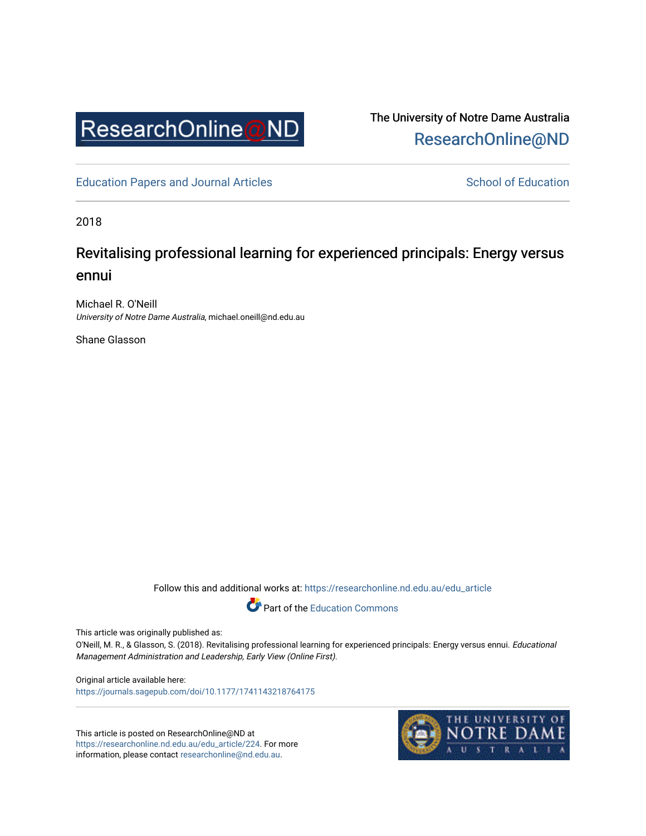

The University of Notre Dame Australia [ResearchOnline@ND](https://researchonline.nd.edu.au/) 

[Education Papers and Journal Articles](https://researchonline.nd.edu.au/edu_article) [School of Education](https://researchonline.nd.edu.au/edu) School of Education

2018

# Revitalising professional learning for experienced principals: Energy versus ennui

Michael R. O'Neill University of Notre Dame Australia, michael.oneill@nd.edu.au

Shane Glasson

Follow this and additional works at: [https://researchonline.nd.edu.au/edu\\_article](https://researchonline.nd.edu.au/edu_article?utm_source=researchonline.nd.edu.au%2Fedu_article%2F224&utm_medium=PDF&utm_campaign=PDFCoverPages)



This article was originally published as:

O'Neill, M. R., & Glasson, S. (2018). Revitalising professional learning for experienced principals: Energy versus ennui. Educational Management Administration and Leadership, Early View (Online First).

Original article available here: <https://journals.sagepub.com/doi/10.1177/1741143218764175>

This article is posted on ResearchOnline@ND at [https://researchonline.nd.edu.au/edu\\_article/224](https://researchonline.nd.edu.au/edu_article/224). For more information, please contact [researchonline@nd.edu.au.](mailto:researchonline@nd.edu.au)

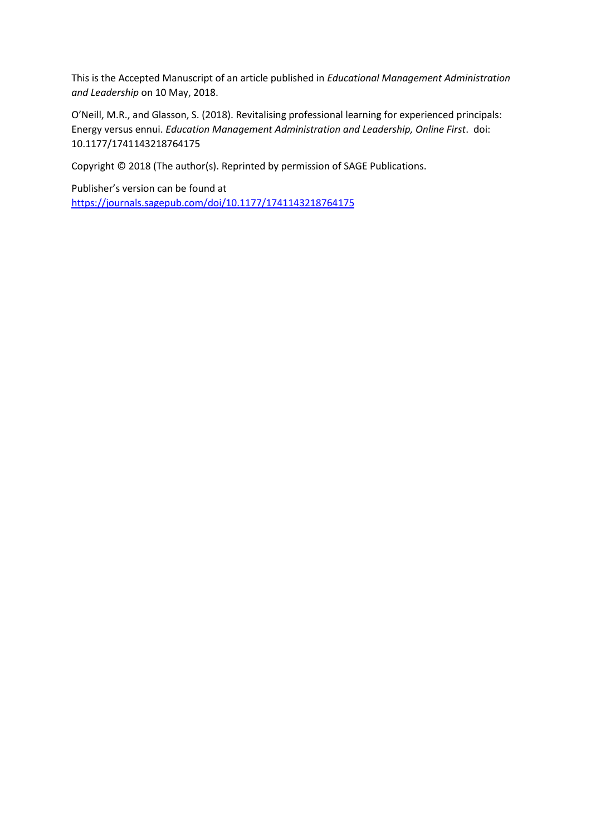This is the Accepted Manuscript of an article published in *Educational Management Administration and Leadership* on 10 May, 2018.

O'Neill, M.R., and Glasson, S. (2018). Revitalising professional learning for experienced principals: Energy versus ennui. *Education Management Administration and Leadership, Online First*. doi: 10.1177/1741143218764175

Copyright © 2018 (The author(s). Reprinted by permission of SAGE Publications.

Publisher's version can be found at <https://journals.sagepub.com/doi/10.1177/1741143218764175>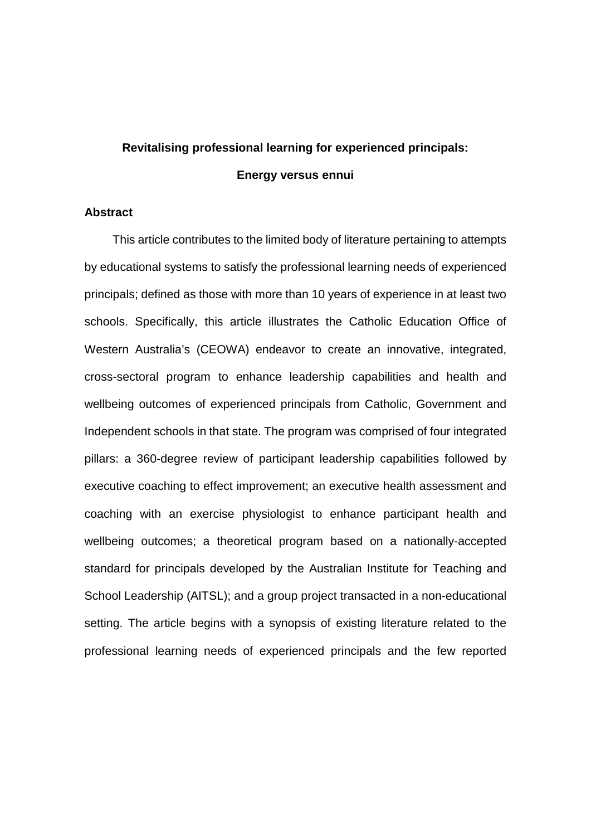# **Revitalising professional learning for experienced principals: Energy versus ennui**

# **Abstract**

This article contributes to the limited body of literature pertaining to attempts by educational systems to satisfy the professional learning needs of experienced principals; defined as those with more than 10 years of experience in at least two schools. Specifically, this article illustrates the Catholic Education Office of Western Australia's (CEOWA) endeavor to create an innovative, integrated, cross-sectoral program to enhance leadership capabilities and health and wellbeing outcomes of experienced principals from Catholic, Government and Independent schools in that state. The program was comprised of four integrated pillars: a 360-degree review of participant leadership capabilities followed by executive coaching to effect improvement; an executive health assessment and coaching with an exercise physiologist to enhance participant health and wellbeing outcomes; a theoretical program based on a nationally-accepted standard for principals developed by the Australian Institute for Teaching and School Leadership (AITSL); and a group project transacted in a non-educational setting. The article begins with a synopsis of existing literature related to the professional learning needs of experienced principals and the few reported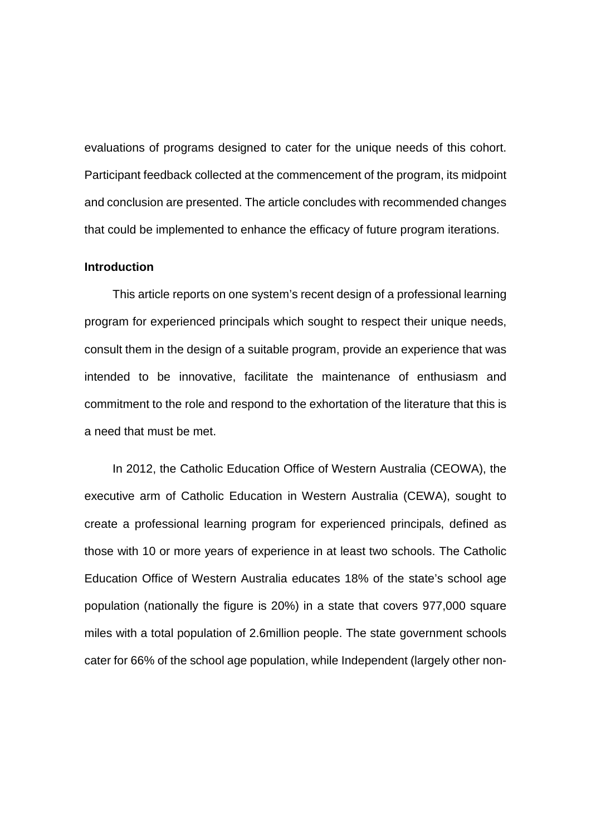evaluations of programs designed to cater for the unique needs of this cohort. Participant feedback collected at the commencement of the program, its midpoint and conclusion are presented. The article concludes with recommended changes that could be implemented to enhance the efficacy of future program iterations.

#### **Introduction**

This article reports on one system's recent design of a professional learning program for experienced principals which sought to respect their unique needs, consult them in the design of a suitable program, provide an experience that was intended to be innovative, facilitate the maintenance of enthusiasm and commitment to the role and respond to the exhortation of the literature that this is a need that must be met.

In 2012, the Catholic Education Office of Western Australia (CEOWA), the executive arm of Catholic Education in Western Australia (CEWA), sought to create a professional learning program for experienced principals, defined as those with 10 or more years of experience in at least two schools. The Catholic Education Office of Western Australia educates 18% of the state's school age population (nationally the figure is 20%) in a state that covers 977,000 square miles with a total population of 2.6million people. The state government schools cater for 66% of the school age population, while Independent (largely other non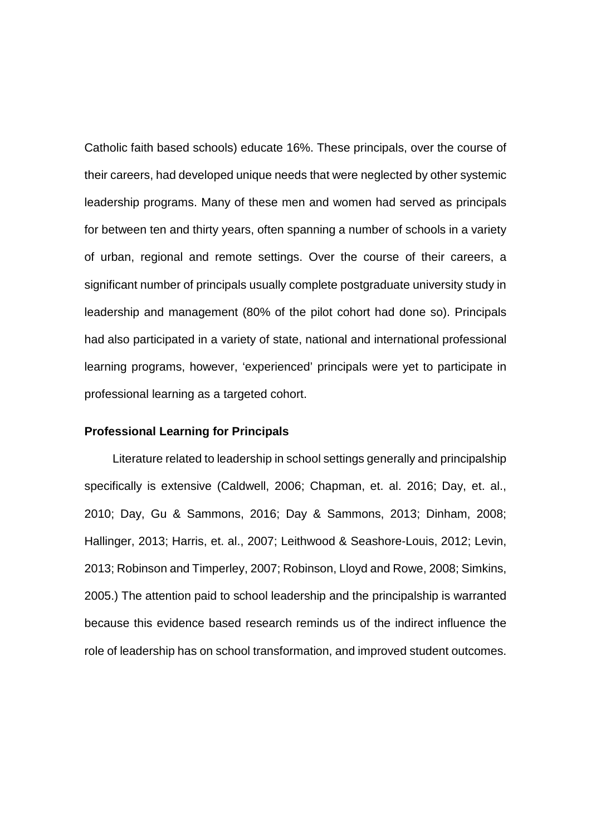Catholic faith based schools) educate 16%. These principals, over the course of their careers, had developed unique needs that were neglected by other systemic leadership programs. Many of these men and women had served as principals for between ten and thirty years, often spanning a number of schools in a variety of urban, regional and remote settings. Over the course of their careers, a significant number of principals usually complete postgraduate university study in leadership and management (80% of the pilot cohort had done so). Principals had also participated in a variety of state, national and international professional learning programs, however, 'experienced' principals were yet to participate in professional learning as a targeted cohort.

#### **Professional Learning for Principals**

Literature related to leadership in school settings generally and principalship specifically is extensive (Caldwell, 2006; Chapman, et. al. 2016; Day, et. al., 2010; Day, Gu & Sammons, 2016; Day & Sammons, 2013; Dinham, 2008; Hallinger, 2013; Harris, et. al., 2007; Leithwood & Seashore-Louis, 2012; Levin, 2013; Robinson and Timperley, 2007; Robinson, Lloyd and Rowe, 2008; Simkins, 2005.) The attention paid to school leadership and the principalship is warranted because this evidence based research reminds us of the indirect influence the role of leadership has on school transformation, and improved student outcomes.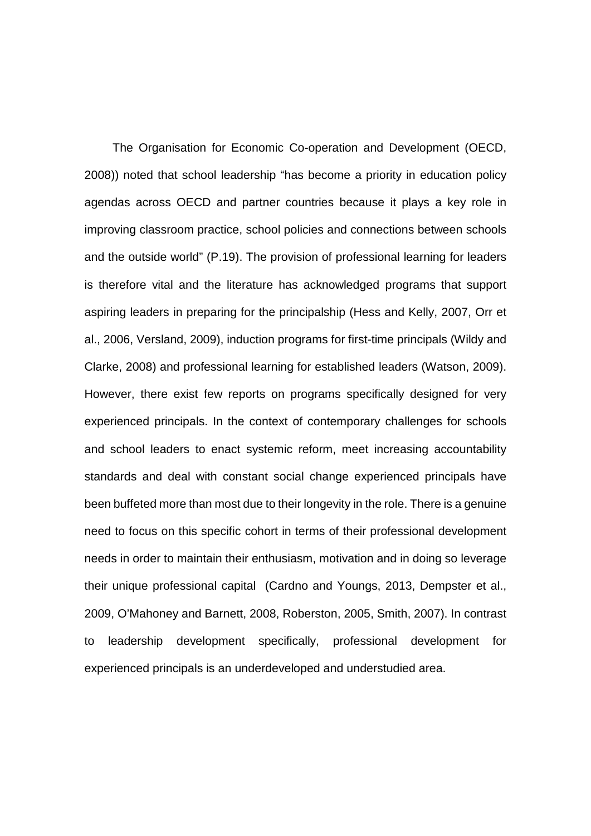The Organisation for Economic Co-operation and Development (OECD, 2008)) noted that school leadership "has become a priority in education policy agendas across OECD and partner countries because it plays a key role in improving classroom practice, school policies and connections between schools and the outside world" (P.19). The provision of professional learning for leaders is therefore vital and the literature has acknowledged programs that support aspiring leaders in preparing for the principalship (Hess and Kelly, 2007, Orr et al., 2006, Versland, 2009), induction programs for first-time principals (Wildy and Clarke, 2008) and professional learning for established leaders (Watson, 2009). However, there exist few reports on programs specifically designed for very experienced principals. In the context of contemporary challenges for schools and school leaders to enact systemic reform, meet increasing accountability standards and deal with constant social change experienced principals have been buffeted more than most due to their longevity in the role. There is a genuine need to focus on this specific cohort in terms of their professional development needs in order to maintain their enthusiasm, motivation and in doing so leverage their unique professional capital (Cardno and Youngs, 2013, Dempster et al., 2009, O'Mahoney and Barnett, 2008, Roberston, 2005, Smith, 2007). In contrast to leadership development specifically, professional development for experienced principals is an underdeveloped and understudied area.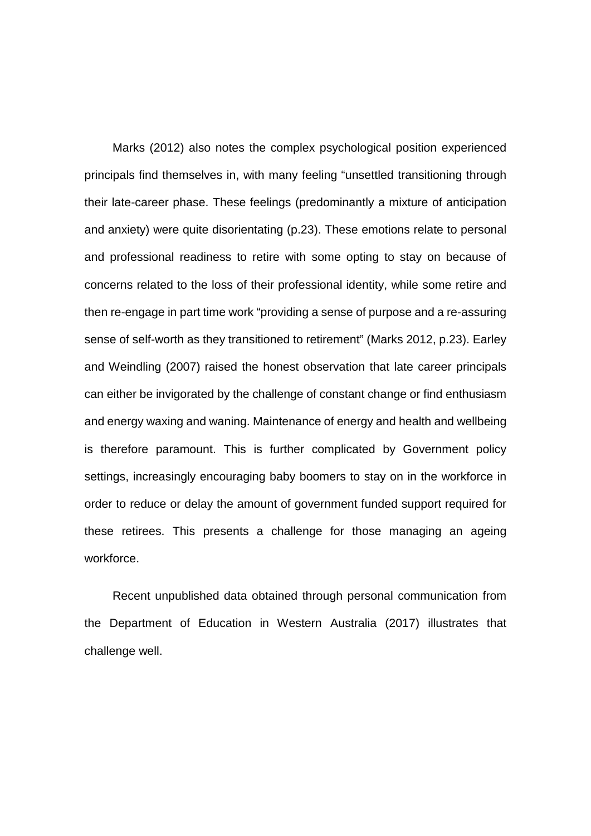Marks (2012) also notes the complex psychological position experienced principals find themselves in, with many feeling "unsettled transitioning through their late-career phase. These feelings (predominantly a mixture of anticipation and anxiety) were quite disorientating (p.23). These emotions relate to personal and professional readiness to retire with some opting to stay on because of concerns related to the loss of their professional identity, while some retire and then re-engage in part time work "providing a sense of purpose and a re-assuring sense of self-worth as they transitioned to retirement" (Marks 2012, p.23). Earley and Weindling (2007) raised the honest observation that late career principals can either be invigorated by the challenge of constant change or find enthusiasm and energy waxing and waning. Maintenance of energy and health and wellbeing is therefore paramount. This is further complicated by Government policy settings, increasingly encouraging baby boomers to stay on in the workforce in order to reduce or delay the amount of government funded support required for these retirees. This presents a challenge for those managing an ageing workforce.

Recent unpublished data obtained through personal communication from the Department of Education in Western Australia (2017) illustrates that challenge well.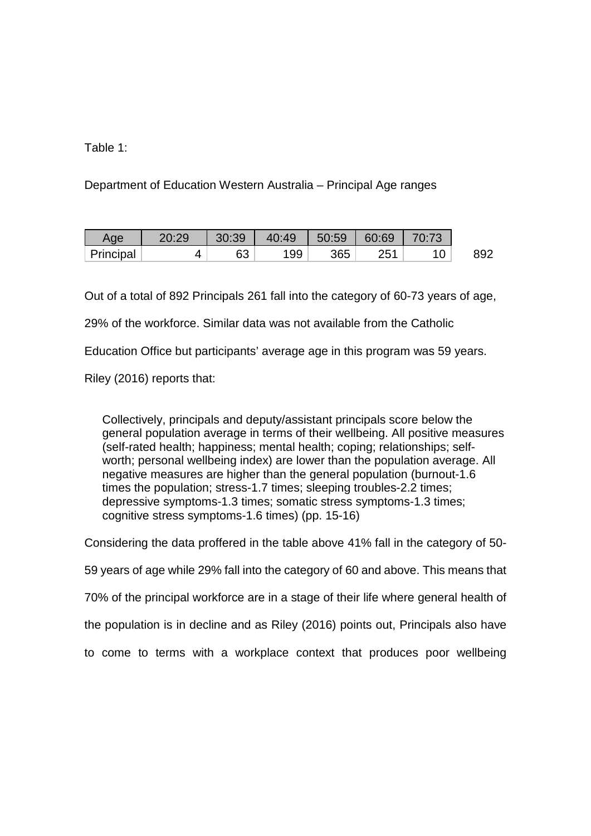# Table 1:

Department of Education Western Australia – Principal Age ranges

| Age       | 20:29 | 30:39 | 40:49 | 50:59 | 60:69 | 70:73 |  |
|-----------|-------|-------|-------|-------|-------|-------|--|
| Principal |       | 63    | 99    | 365   | つに1   |       |  |

Out of a total of 892 Principals 261 fall into the category of 60-73 years of age,

29% of the workforce. Similar data was not available from the Catholic

Education Office but participants' average age in this program was 59 years.

Riley (2016) reports that:

Collectively, principals and deputy/assistant principals score below the general population average in terms of their wellbeing. All positive measures (self-rated health; happiness; mental health; coping; relationships; selfworth; personal wellbeing index) are lower than the population average. All negative measures are higher than the general population (burnout-1.6 times the population; stress-1.7 times; sleeping troubles-2.2 times; depressive symptoms-1.3 times; somatic stress symptoms-1.3 times; cognitive stress symptoms-1.6 times) (pp. 15-16)

Considering the data proffered in the table above 41% fall in the category of 50- 59 years of age while 29% fall into the category of 60 and above. This means that 70% of the principal workforce are in a stage of their life where general health of the population is in decline and as Riley (2016) points out, Principals also have to come to terms with a workplace context that produces poor wellbeing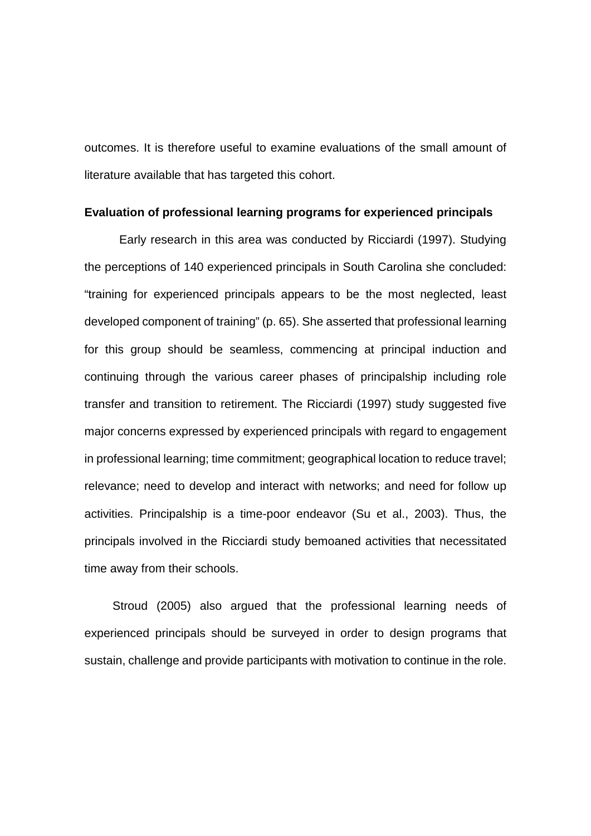outcomes. It is therefore useful to examine evaluations of the small amount of literature available that has targeted this cohort.

#### **Evaluation of professional learning programs for experienced principals**

Early research in this area was conducted by Ricciardi (1997). Studying the perceptions of 140 experienced principals in South Carolina she concluded: "training for experienced principals appears to be the most neglected, least developed component of training" (p. 65). She asserted that professional learning for this group should be seamless, commencing at principal induction and continuing through the various career phases of principalship including role transfer and transition to retirement. The Ricciardi (1997) study suggested five major concerns expressed by experienced principals with regard to engagement in professional learning; time commitment; geographical location to reduce travel; relevance; need to develop and interact with networks; and need for follow up activities. Principalship is a time-poor endeavor (Su et al., 2003). Thus, the principals involved in the Ricciardi study bemoaned activities that necessitated time away from their schools.

Stroud (2005) also argued that the professional learning needs of experienced principals should be surveyed in order to design programs that sustain, challenge and provide participants with motivation to continue in the role.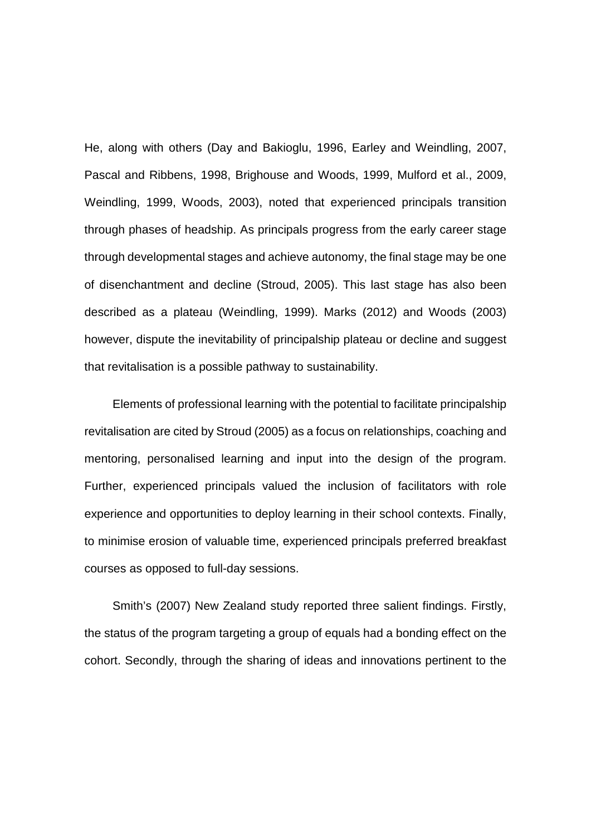He, along with others (Day and Bakioglu, 1996, Earley and Weindling, 2007, Pascal and Ribbens, 1998, Brighouse and Woods, 1999, Mulford et al., 2009, Weindling, 1999, Woods, 2003), noted that experienced principals transition through phases of headship. As principals progress from the early career stage through developmental stages and achieve autonomy, the final stage may be one of disenchantment and decline (Stroud, 2005). This last stage has also been described as a plateau (Weindling, 1999). Marks (2012) and Woods (2003) however, dispute the inevitability of principalship plateau or decline and suggest that revitalisation is a possible pathway to sustainability.

Elements of professional learning with the potential to facilitate principalship revitalisation are cited by Stroud (2005) as a focus on relationships, coaching and mentoring, personalised learning and input into the design of the program. Further, experienced principals valued the inclusion of facilitators with role experience and opportunities to deploy learning in their school contexts. Finally, to minimise erosion of valuable time, experienced principals preferred breakfast courses as opposed to full-day sessions.

Smith's (2007) New Zealand study reported three salient findings. Firstly, the status of the program targeting a group of equals had a bonding effect on the cohort. Secondly, through the sharing of ideas and innovations pertinent to the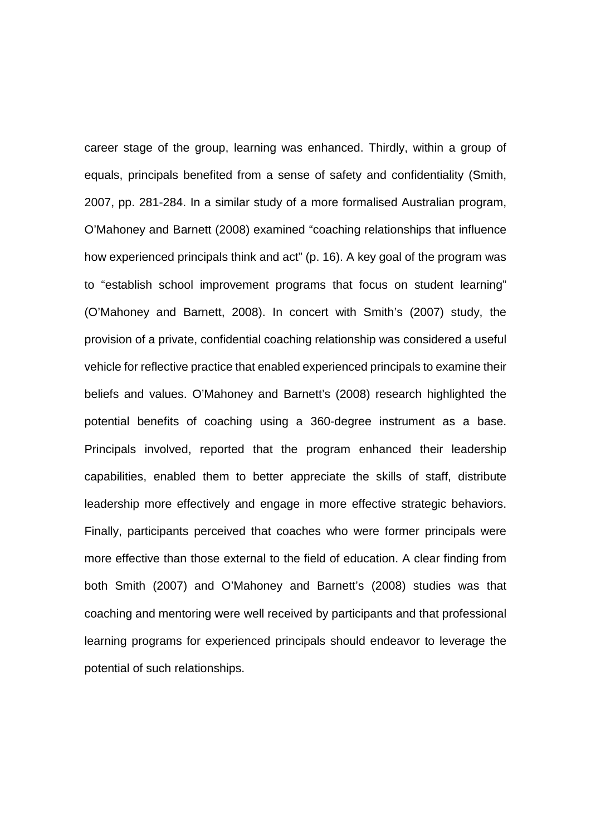career stage of the group, learning was enhanced. Thirdly, within a group of equals, principals benefited from a sense of safety and confidentiality (Smith, 2007, pp. 281-284. In a similar study of a more formalised Australian program, O'Mahoney and Barnett (2008) examined "coaching relationships that influence how experienced principals think and act" (p. 16). A key goal of the program was to "establish school improvement programs that focus on student learning" (O'Mahoney and Barnett, 2008). In concert with Smith's (2007) study, the provision of a private, confidential coaching relationship was considered a useful vehicle for reflective practice that enabled experienced principals to examine their beliefs and values. O'Mahoney and Barnett's (2008) research highlighted the potential benefits of coaching using a 360-degree instrument as a base. Principals involved, reported that the program enhanced their leadership capabilities, enabled them to better appreciate the skills of staff, distribute leadership more effectively and engage in more effective strategic behaviors. Finally, participants perceived that coaches who were former principals were more effective than those external to the field of education. A clear finding from both Smith (2007) and O'Mahoney and Barnett's (2008) studies was that coaching and mentoring were well received by participants and that professional learning programs for experienced principals should endeavor to leverage the potential of such relationships.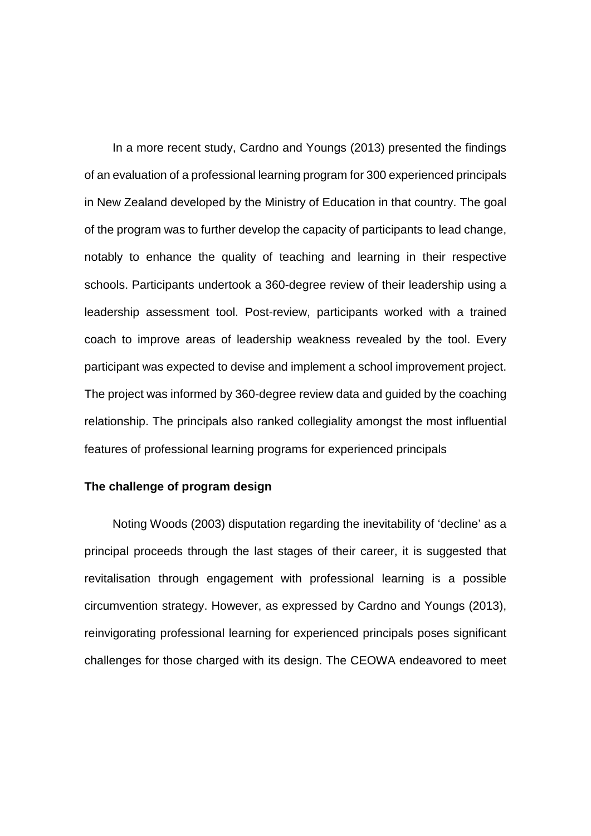In a more recent study, Cardno and Youngs (2013) presented the findings of an evaluation of a professional learning program for 300 experienced principals in New Zealand developed by the Ministry of Education in that country. The goal of the program was to further develop the capacity of participants to lead change, notably to enhance the quality of teaching and learning in their respective schools. Participants undertook a 360-degree review of their leadership using a leadership assessment tool. Post-review, participants worked with a trained coach to improve areas of leadership weakness revealed by the tool. Every participant was expected to devise and implement a school improvement project. The project was informed by 360-degree review data and guided by the coaching relationship. The principals also ranked collegiality amongst the most influential features of professional learning programs for experienced principals

# **The challenge of program design**

Noting Woods (2003) disputation regarding the inevitability of 'decline' as a principal proceeds through the last stages of their career, it is suggested that revitalisation through engagement with professional learning is a possible circumvention strategy. However, as expressed by Cardno and Youngs (2013), reinvigorating professional learning for experienced principals poses significant challenges for those charged with its design. The CEOWA endeavored to meet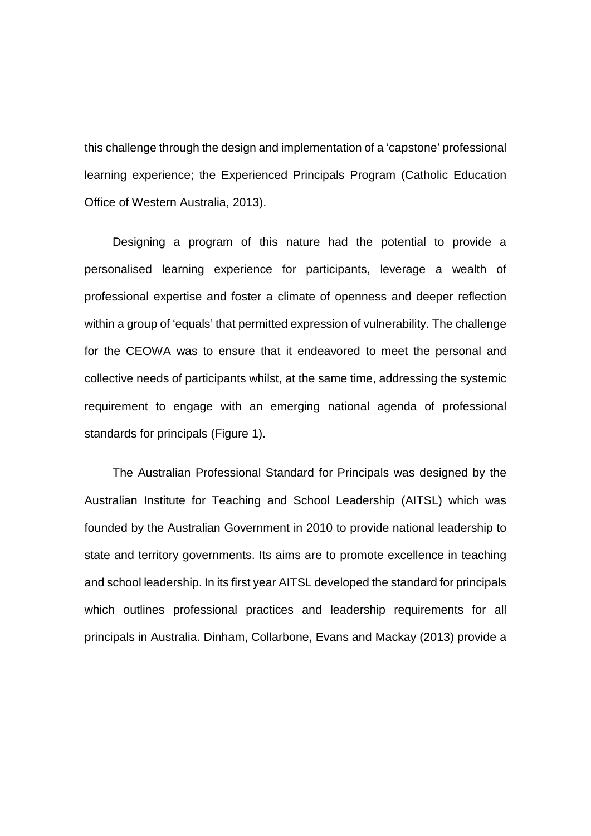this challenge through the design and implementation of a 'capstone' professional learning experience; the Experienced Principals Program (Catholic Education Office of Western Australia, 2013).

Designing a program of this nature had the potential to provide a personalised learning experience for participants, leverage a wealth of professional expertise and foster a climate of openness and deeper reflection within a group of 'equals' that permitted expression of vulnerability. The challenge for the CEOWA was to ensure that it endeavored to meet the personal and collective needs of participants whilst, at the same time, addressing the systemic requirement to engage with an emerging national agenda of professional standards for principals (Figure 1).

The Australian Professional Standard for Principals was designed by the Australian Institute for Teaching and School Leadership (AITSL) which was founded by the Australian Government in 2010 to provide national leadership to state and territory governments. Its aims are to promote excellence in teaching and school leadership. In its first year AITSL developed the standard for principals which outlines professional practices and leadership requirements for all principals in Australia. Dinham, Collarbone, Evans and Mackay (2013) provide a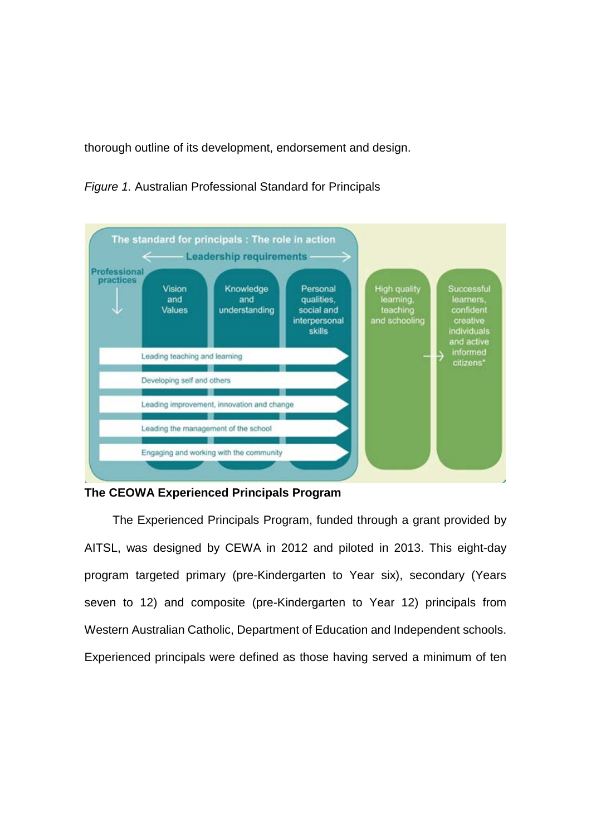thorough outline of its development, endorsement and design.





# **The CEOWA Experienced Principals Program**

The Experienced Principals Program, funded through a grant provided by AITSL, was designed by CEWA in 2012 and piloted in 2013. This eight-day program targeted primary (pre-Kindergarten to Year six), secondary (Years seven to 12) and composite (pre-Kindergarten to Year 12) principals from Western Australian Catholic, Department of Education and Independent schools. Experienced principals were defined as those having served a minimum of ten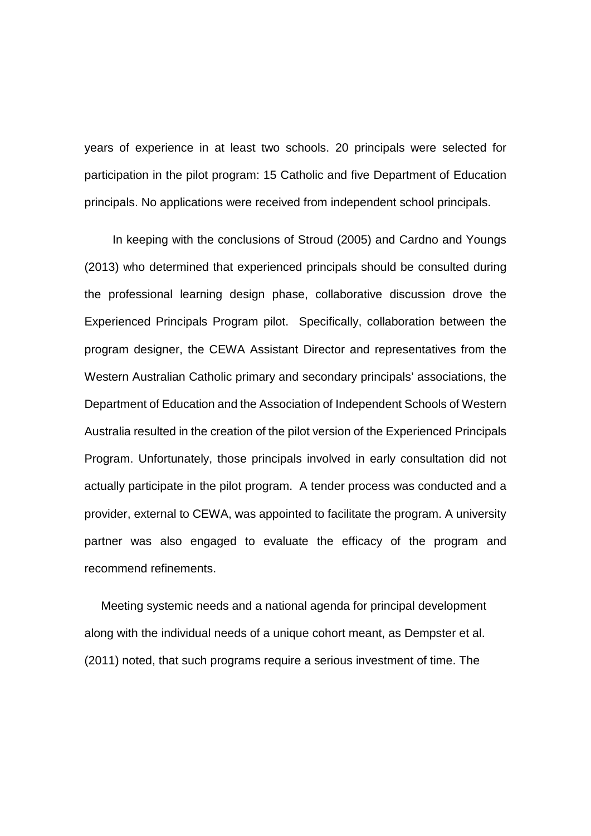years of experience in at least two schools. 20 principals were selected for participation in the pilot program: 15 Catholic and five Department of Education principals. No applications were received from independent school principals.

In keeping with the conclusions of Stroud (2005) and Cardno and Youngs (2013) who determined that experienced principals should be consulted during the professional learning design phase, collaborative discussion drove the Experienced Principals Program pilot. Specifically, collaboration between the program designer, the CEWA Assistant Director and representatives from the Western Australian Catholic primary and secondary principals' associations, the Department of Education and the Association of Independent Schools of Western Australia resulted in the creation of the pilot version of the Experienced Principals Program. Unfortunately, those principals involved in early consultation did not actually participate in the pilot program. A tender process was conducted and a provider, external to CEWA, was appointed to facilitate the program. A university partner was also engaged to evaluate the efficacy of the program and recommend refinements.

 Meeting systemic needs and a national agenda for principal development along with the individual needs of a unique cohort meant, as Dempster et al. (2011) noted, that such programs require a serious investment of time. The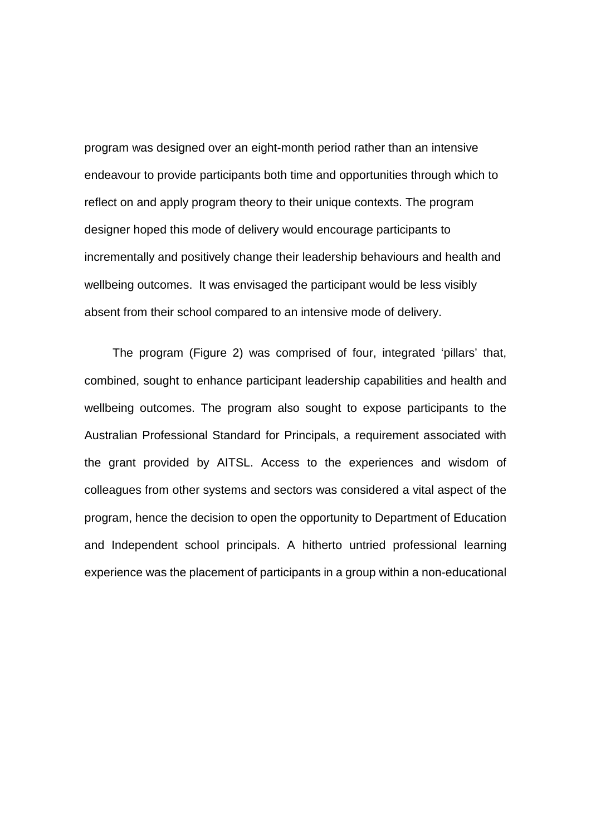program was designed over an eight-month period rather than an intensive endeavour to provide participants both time and opportunities through which to reflect on and apply program theory to their unique contexts. The program designer hoped this mode of delivery would encourage participants to incrementally and positively change their leadership behaviours and health and wellbeing outcomes. It was envisaged the participant would be less visibly absent from their school compared to an intensive mode of delivery.

The program (Figure 2) was comprised of four, integrated 'pillars' that, combined, sought to enhance participant leadership capabilities and health and wellbeing outcomes. The program also sought to expose participants to the Australian Professional Standard for Principals, a requirement associated with the grant provided by AITSL. Access to the experiences and wisdom of colleagues from other systems and sectors was considered a vital aspect of the program, hence the decision to open the opportunity to Department of Education and Independent school principals. A hitherto untried professional learning experience was the placement of participants in a group within a non-educational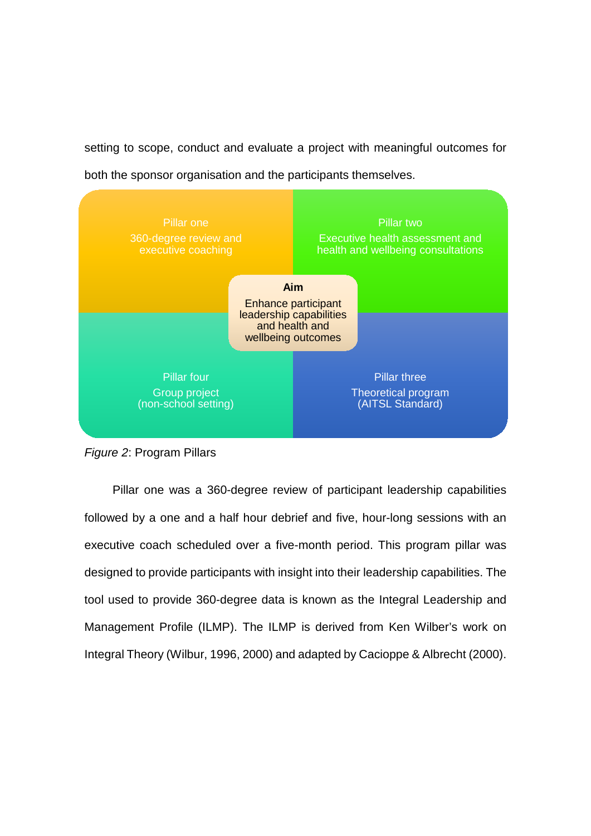setting to scope, conduct and evaluate a project with meaningful outcomes for

both the sponsor organisation and the participants themselves.





Pillar one was a 360-degree review of participant leadership capabilities followed by a one and a half hour debrief and five, hour-long sessions with an executive coach scheduled over a five-month period. This program pillar was designed to provide participants with insight into their leadership capabilities. The tool used to provide 360-degree data is known as the Integral Leadership and Management Profile (ILMP). The ILMP is derived from Ken Wilber's work on Integral Theory (Wilbur, 1996, 2000) and adapted by Cacioppe & Albrecht (2000).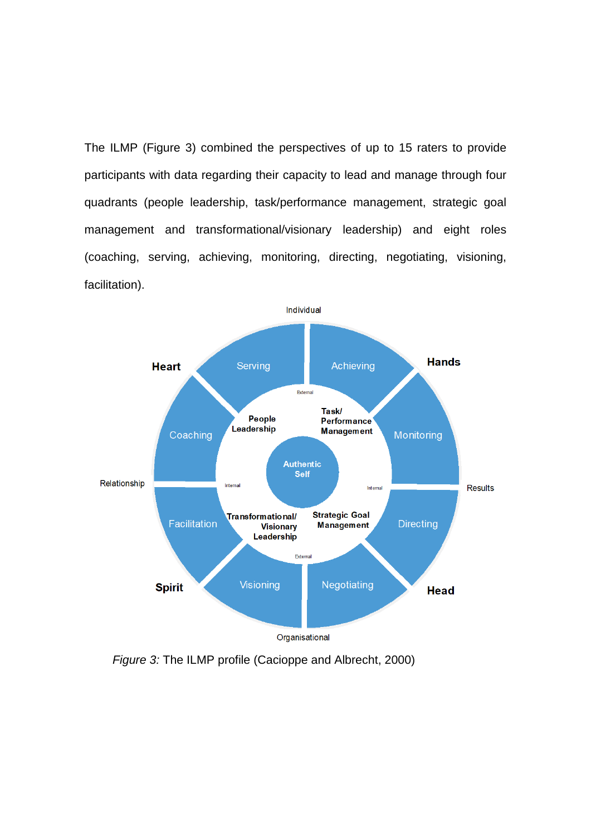The ILMP (Figure 3) combined the perspectives of up to 15 raters to provide participants with data regarding their capacity to lead and manage through four quadrants (people leadership, task/performance management, strategic goal management and transformational/visionary leadership) and eight roles (coaching, serving, achieving, monitoring, directing, negotiating, visioning, facilitation).



*Figure 3:* The ILMP profile (Cacioppe and Albrecht, 2000)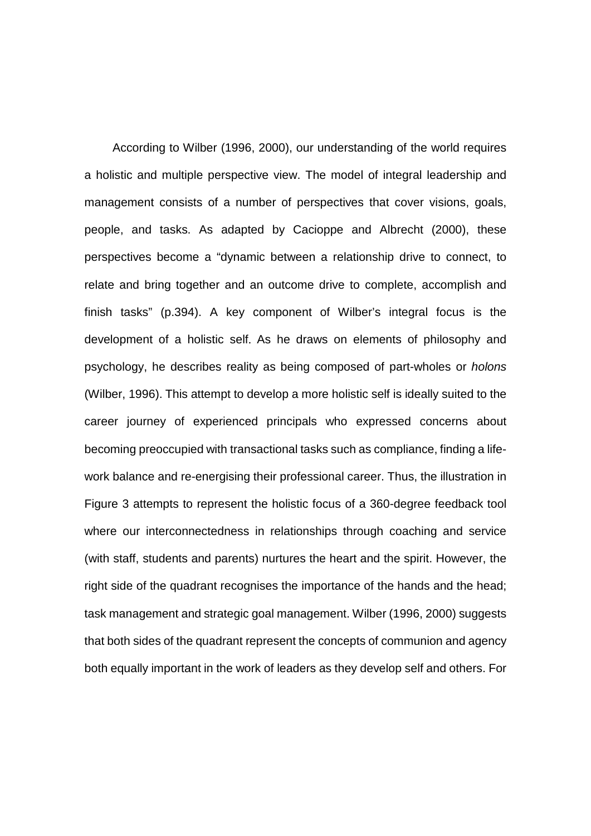According to Wilber (1996, 2000), our understanding of the world requires a holistic and multiple perspective view. The model of integral leadership and management consists of a number of perspectives that cover visions, goals, people, and tasks. As adapted by Cacioppe and Albrecht (2000), these perspectives become a "dynamic between a relationship drive to connect, to relate and bring together and an outcome drive to complete, accomplish and finish tasks" (p.394). A key component of Wilber's integral focus is the development of a holistic self. As he draws on elements of philosophy and psychology, he describes reality as being composed of part-wholes or *holons* (Wilber, 1996). This attempt to develop a more holistic self is ideally suited to the career journey of experienced principals who expressed concerns about becoming preoccupied with transactional tasks such as compliance, finding a lifework balance and re-energising their professional career. Thus, the illustration in Figure 3 attempts to represent the holistic focus of a 360-degree feedback tool where our interconnectedness in relationships through coaching and service (with staff, students and parents) nurtures the heart and the spirit. However, the right side of the quadrant recognises the importance of the hands and the head; task management and strategic goal management. Wilber (1996, 2000) suggests that both sides of the quadrant represent the concepts of communion and agency both equally important in the work of leaders as they develop self and others. For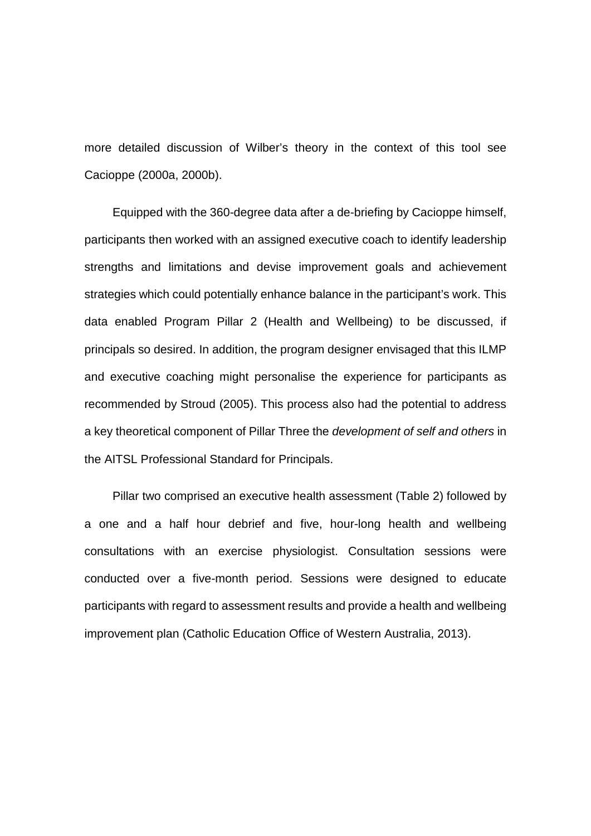more detailed discussion of Wilber's theory in the context of this tool see Cacioppe (2000a, 2000b).

Equipped with the 360-degree data after a de-briefing by Cacioppe himself, participants then worked with an assigned executive coach to identify leadership strengths and limitations and devise improvement goals and achievement strategies which could potentially enhance balance in the participant's work. This data enabled Program Pillar 2 (Health and Wellbeing) to be discussed, if principals so desired. In addition, the program designer envisaged that this ILMP and executive coaching might personalise the experience for participants as recommended by Stroud (2005). This process also had the potential to address a key theoretical component of Pillar Three the *development of self and others* in the AITSL Professional Standard for Principals.

Pillar two comprised an executive health assessment (Table 2) followed by a one and a half hour debrief and five, hour-long health and wellbeing consultations with an exercise physiologist. Consultation sessions were conducted over a five-month period. Sessions were designed to educate participants with regard to assessment results and provide a health and wellbeing improvement plan (Catholic Education Office of Western Australia, 2013).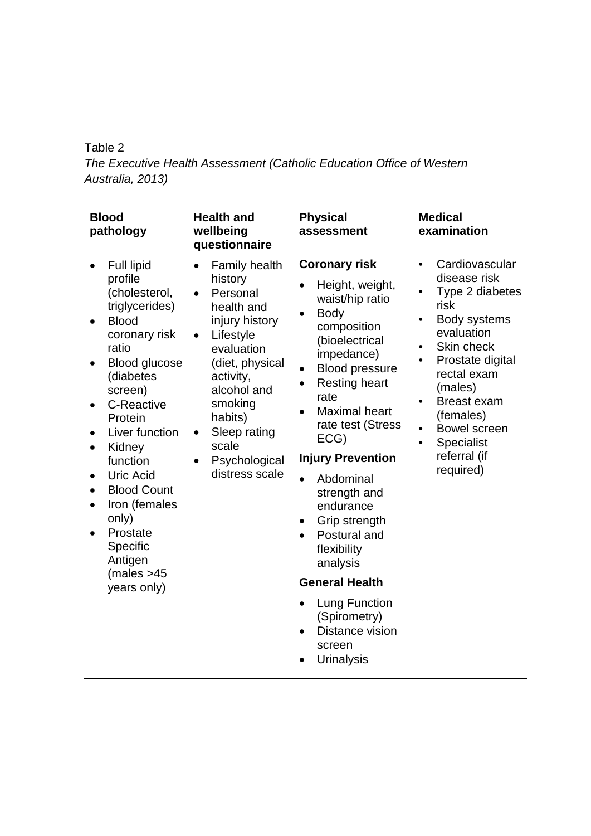# Table 2

*The Executive Health Assessment (Catholic Education Office of Western Australia, 2013)*

| <b>Blood</b><br>pathology                                                                                                                                                                                                                                                                                                                                                                                                         | <b>Health and</b><br>wellbeing<br>questionnaire                                                                                                                                                                                                                   | <b>Physical</b><br>assessment                                                                                                                                                                                                                                                                                                                                                                                                                                                                                                      | <b>Medical</b><br>examination                                                                                                                                                                                                                                                                                                                       |
|-----------------------------------------------------------------------------------------------------------------------------------------------------------------------------------------------------------------------------------------------------------------------------------------------------------------------------------------------------------------------------------------------------------------------------------|-------------------------------------------------------------------------------------------------------------------------------------------------------------------------------------------------------------------------------------------------------------------|------------------------------------------------------------------------------------------------------------------------------------------------------------------------------------------------------------------------------------------------------------------------------------------------------------------------------------------------------------------------------------------------------------------------------------------------------------------------------------------------------------------------------------|-----------------------------------------------------------------------------------------------------------------------------------------------------------------------------------------------------------------------------------------------------------------------------------------------------------------------------------------------------|
| Full lipid<br>profile<br>(cholesterol,<br>triglycerides)<br><b>Blood</b><br>$\bullet$<br>coronary risk<br>ratio<br><b>Blood glucose</b><br>(diabetes<br>screen)<br><b>C-Reactive</b><br>$\bullet$<br>Protein<br>Liver function<br>Kidney<br>$\bullet$<br>function<br><b>Uric Acid</b><br><b>Blood Count</b><br>$\bullet$<br>Iron (females<br>$\bullet$<br>only)<br>Prostate<br>Specific<br>Antigen<br>(males > 45)<br>years only) | <b>Family health</b><br>$\bullet$<br>history<br>Personal<br>health and<br>injury history<br>Lifestyle<br>$\bullet$<br>evaluation<br>(diet, physical<br>activity,<br>alcohol and<br>smoking<br>habits)<br>Sleep rating<br>scale<br>Psychological<br>distress scale | <b>Coronary risk</b><br>Height, weight,<br>waist/hip ratio<br><b>Body</b><br>composition<br>(bioelectrical<br>impedance)<br><b>Blood pressure</b><br>$\bullet$<br><b>Resting heart</b><br>$\bullet$<br>rate<br><b>Maximal heart</b><br>rate test (Stress<br>ECG)<br><b>Injury Prevention</b><br>Abdominal<br>$\bullet$<br>strength and<br>endurance<br>Grip strength<br>Postural and<br>flexibility<br>analysis<br><b>General Health</b><br><b>Lung Function</b><br>(Spirometry)<br>Distance vision<br>screen<br><b>Urinalysis</b> | Cardiovascular<br>$\bullet$<br>disease risk<br>Type 2 diabetes<br>risk<br>Body systems<br>$\bullet$<br>evaluation<br>Skin check<br>$\bullet$<br>Prostate digital<br>$\bullet$<br>rectal exam<br>(males)<br><b>Breast exam</b><br>$\bullet$<br>(females)<br>Bowel screen<br>$\bullet$<br><b>Specialist</b><br>$\bullet$<br>referral (if<br>required) |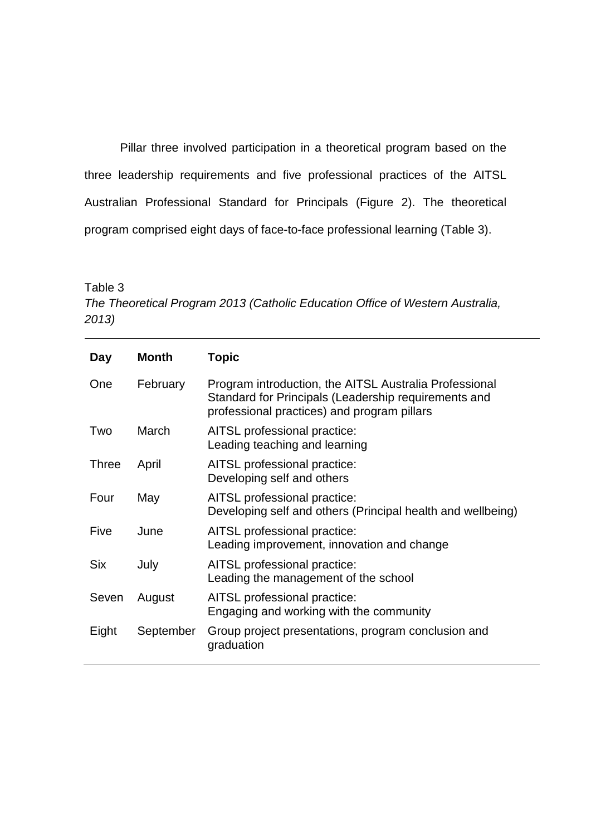Pillar three involved participation in a theoretical program based on the three leadership requirements and five professional practices of the AITSL Australian Professional Standard for Principals (Figure 2). The theoretical program comprised eight days of face-to-face professional learning (Table 3).

#### Table 3

*The Theoretical Program 2013 (Catholic Education Office of Western Australia, 2013)*

| Day          | <b>Month</b> | Topic                                                                                                                                                         |
|--------------|--------------|---------------------------------------------------------------------------------------------------------------------------------------------------------------|
| One          | February     | Program introduction, the AITSL Australia Professional<br>Standard for Principals (Leadership requirements and<br>professional practices) and program pillars |
| Two          | March        | AITSL professional practice:<br>Leading teaching and learning                                                                                                 |
| <b>Three</b> | April        | AITSL professional practice:<br>Developing self and others                                                                                                    |
| Four         | May          | AITSL professional practice:<br>Developing self and others (Principal health and wellbeing)                                                                   |
| Five         | June         | AITSL professional practice:<br>Leading improvement, innovation and change                                                                                    |
| <b>Six</b>   | July         | AITSL professional practice:<br>Leading the management of the school                                                                                          |
| Seven        | August       | AITSL professional practice:<br>Engaging and working with the community                                                                                       |
| Eight        | September    | Group project presentations, program conclusion and<br>graduation                                                                                             |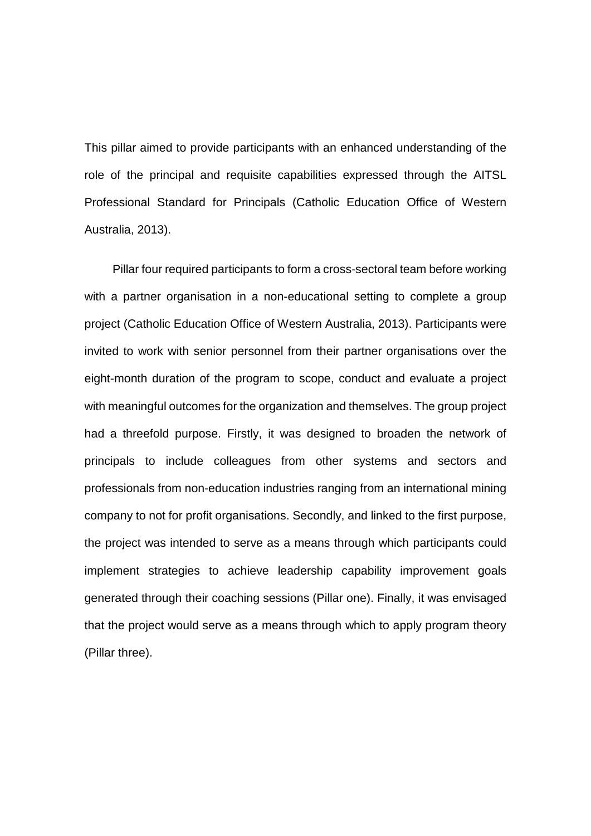This pillar aimed to provide participants with an enhanced understanding of the role of the principal and requisite capabilities expressed through the AITSL Professional Standard for Principals (Catholic Education Office of Western Australia, 2013).

Pillar four required participants to form a cross-sectoral team before working with a partner organisation in a non-educational setting to complete a group project (Catholic Education Office of Western Australia, 2013). Participants were invited to work with senior personnel from their partner organisations over the eight-month duration of the program to scope, conduct and evaluate a project with meaningful outcomes for the organization and themselves. The group project had a threefold purpose. Firstly, it was designed to broaden the network of principals to include colleagues from other systems and sectors and professionals from non-education industries ranging from an international mining company to not for profit organisations. Secondly, and linked to the first purpose, the project was intended to serve as a means through which participants could implement strategies to achieve leadership capability improvement goals generated through their coaching sessions (Pillar one). Finally, it was envisaged that the project would serve as a means through which to apply program theory (Pillar three).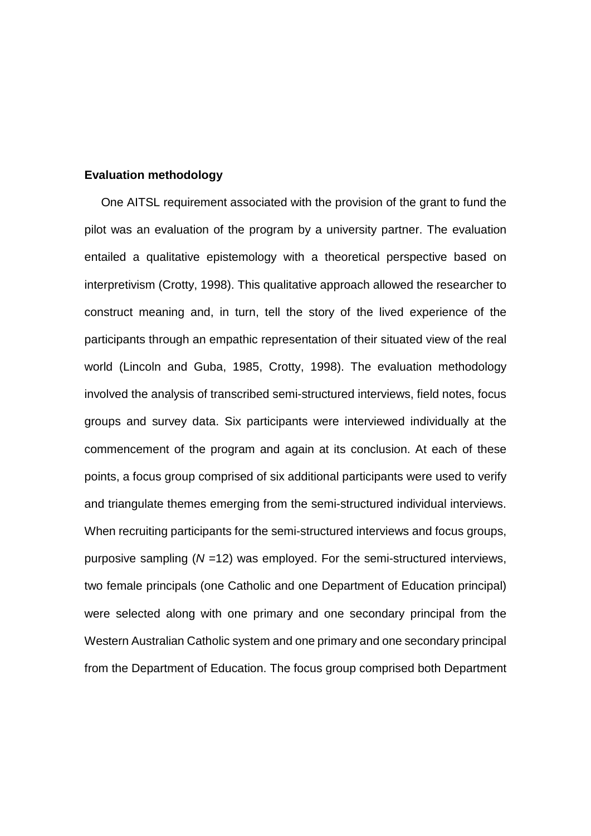#### **Evaluation methodology**

 One AITSL requirement associated with the provision of the grant to fund the pilot was an evaluation of the program by a university partner. The evaluation entailed a qualitative epistemology with a theoretical perspective based on interpretivism (Crotty, 1998). This qualitative approach allowed the researcher to construct meaning and, in turn, tell the story of the lived experience of the participants through an empathic representation of their situated view of the real world (Lincoln and Guba, 1985, Crotty, 1998). The evaluation methodology involved the analysis of transcribed semi-structured interviews, field notes, focus groups and survey data. Six participants were interviewed individually at the commencement of the program and again at its conclusion. At each of these points, a focus group comprised of six additional participants were used to verify and triangulate themes emerging from the semi-structured individual interviews. When recruiting participants for the semi-structured interviews and focus groups, purposive sampling (*N* =12) was employed. For the semi-structured interviews, two female principals (one Catholic and one Department of Education principal) were selected along with one primary and one secondary principal from the Western Australian Catholic system and one primary and one secondary principal from the Department of Education. The focus group comprised both Department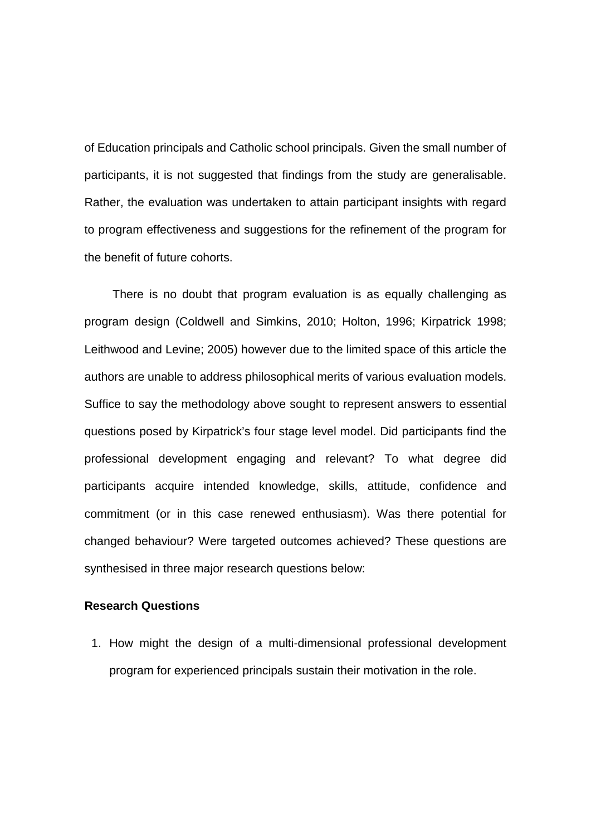of Education principals and Catholic school principals. Given the small number of participants, it is not suggested that findings from the study are generalisable. Rather, the evaluation was undertaken to attain participant insights with regard to program effectiveness and suggestions for the refinement of the program for the benefit of future cohorts.

There is no doubt that program evaluation is as equally challenging as program design (Coldwell and Simkins, 2010; Holton, 1996; Kirpatrick 1998; Leithwood and Levine; 2005) however due to the limited space of this article the authors are unable to address philosophical merits of various evaluation models. Suffice to say the methodology above sought to represent answers to essential questions posed by Kirpatrick's four stage level model. Did participants find the professional development engaging and relevant? To what degree did participants acquire intended knowledge, skills, attitude, confidence and commitment (or in this case renewed enthusiasm). Was there potential for changed behaviour? Were targeted outcomes achieved? These questions are synthesised in three major research questions below:

# **Research Questions**

1. How might the design of a multi-dimensional professional development program for experienced principals sustain their motivation in the role.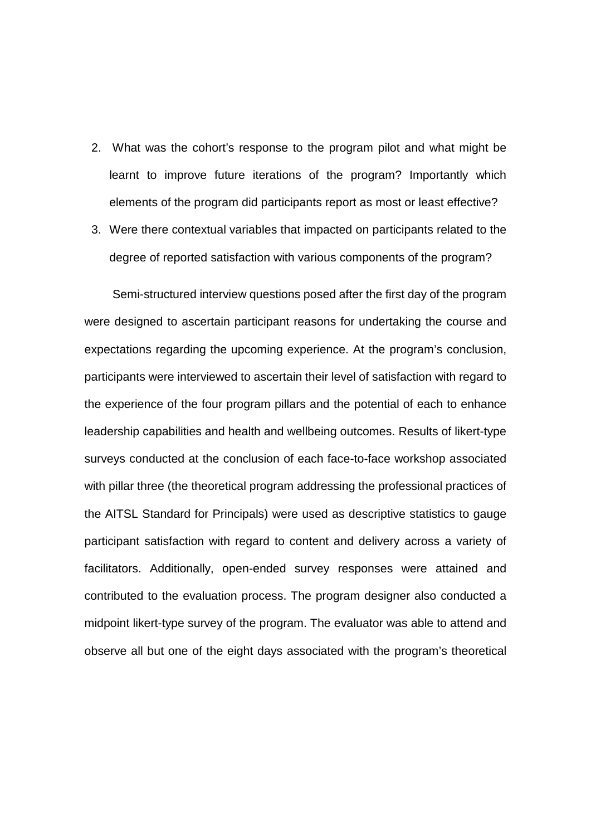- 2. What was the cohort's response to the program pilot and what might be learnt to improve future iterations of the program? Importantly which elements of the program did participants report as most or least effective?
- 3. Were there contextual variables that impacted on participants related to the degree of reported satisfaction with various components of the program?

Semi-structured interview questions posed after the first day of the program were designed to ascertain participant reasons for undertaking the course and expectations regarding the upcoming experience. At the program's conclusion, participants were interviewed to ascertain their level of satisfaction with regard to the experience of the four program pillars and the potential of each to enhance leadership capabilities and health and wellbeing outcomes. Results of likert-type surveys conducted at the conclusion of each face-to-face workshop associated with pillar three (the theoretical program addressing the professional practices of the AITSL Standard for Principals) were used as descriptive statistics to gauge participant satisfaction with regard to content and delivery across a variety of facilitators. Additionally, open-ended survey responses were attained and contributed to the evaluation process. The program designer also conducted a midpoint likert-type survey of the program. The evaluator was able to attend and observe all but one of the eight days associated with the program's theoretical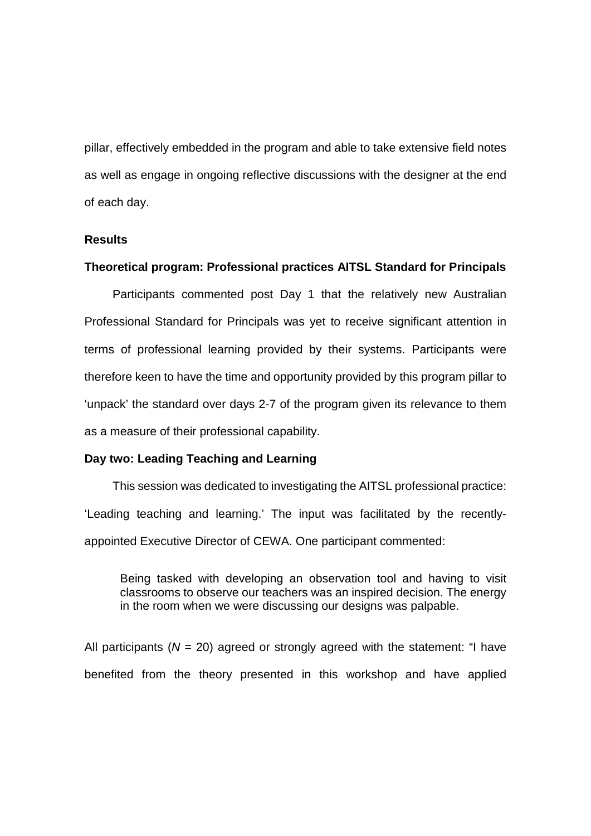pillar, effectively embedded in the program and able to take extensive field notes as well as engage in ongoing reflective discussions with the designer at the end of each day.

#### **Results**

#### **Theoretical program: Professional practices AITSL Standard for Principals**

Participants commented post Day 1 that the relatively new Australian Professional Standard for Principals was yet to receive significant attention in terms of professional learning provided by their systems. Participants were therefore keen to have the time and opportunity provided by this program pillar to 'unpack' the standard over days 2-7 of the program given its relevance to them as a measure of their professional capability.

#### **Day two: Leading Teaching and Learning**

This session was dedicated to investigating the AITSL professional practice: 'Leading teaching and learning.' The input was facilitated by the recentlyappointed Executive Director of CEWA. One participant commented:

Being tasked with developing an observation tool and having to visit classrooms to observe our teachers was an inspired decision. The energy in the room when we were discussing our designs was palpable.

All participants ( $N = 20$ ) agreed or strongly agreed with the statement: "I have benefited from the theory presented in this workshop and have applied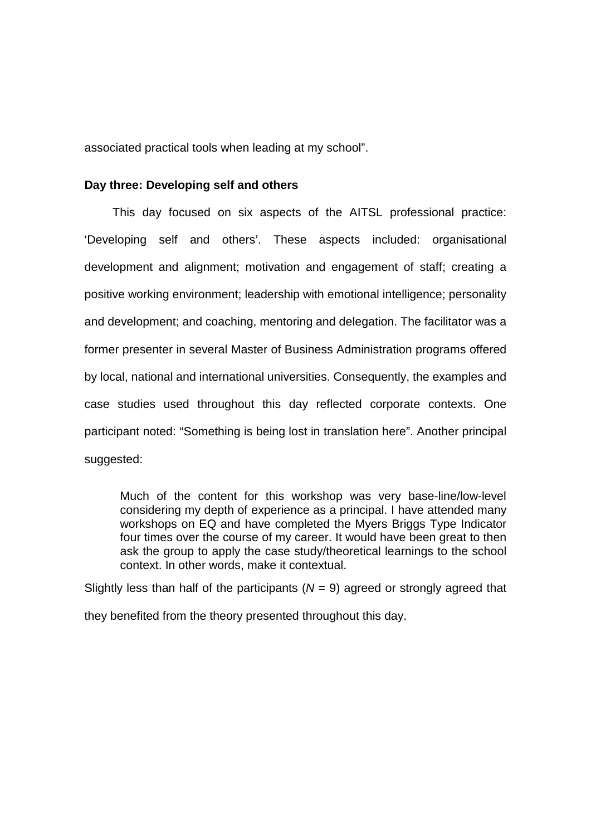associated practical tools when leading at my school".

#### **Day three: Developing self and others**

This day focused on six aspects of the AITSL professional practice: 'Developing self and others'. These aspects included: organisational development and alignment; motivation and engagement of staff; creating a positive working environment; leadership with emotional intelligence; personality and development; and coaching, mentoring and delegation. The facilitator was a former presenter in several Master of Business Administration programs offered by local, national and international universities. Consequently, the examples and case studies used throughout this day reflected corporate contexts. One participant noted: "Something is being lost in translation here". Another principal suggested:

Much of the content for this workshop was very base-line/low-level considering my depth of experience as a principal. I have attended many workshops on EQ and have completed the Myers Briggs Type Indicator four times over the course of my career. It would have been great to then ask the group to apply the case study/theoretical learnings to the school context. In other words, make it contextual.

Slightly less than half of the participants  $(N = 9)$  agreed or strongly agreed that they benefited from the theory presented throughout this day.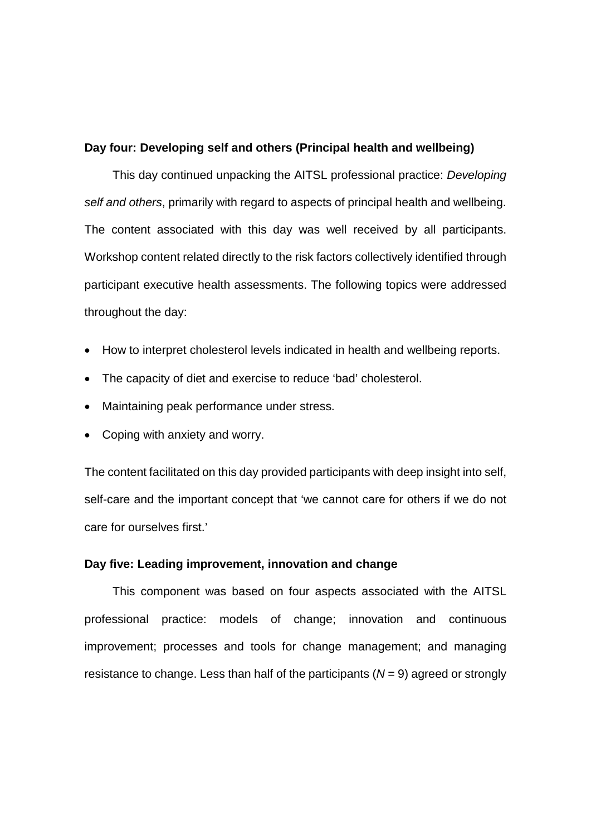# **Day four: Developing self and others (Principal health and wellbeing)**

This day continued unpacking the AITSL professional practice: *Developing self and others*, primarily with regard to aspects of principal health and wellbeing. The content associated with this day was well received by all participants. Workshop content related directly to the risk factors collectively identified through participant executive health assessments. The following topics were addressed throughout the day:

- How to interpret cholesterol levels indicated in health and wellbeing reports.
- The capacity of diet and exercise to reduce 'bad' cholesterol.
- Maintaining peak performance under stress.
- Coping with anxiety and worry.

The content facilitated on this day provided participants with deep insight into self, self-care and the important concept that 'we cannot care for others if we do not care for ourselves first.'

#### **Day five: Leading improvement, innovation and change**

This component was based on four aspects associated with the AITSL professional practice: models of change; innovation and continuous improvement; processes and tools for change management; and managing resistance to change. Less than half of the participants (*N* = 9) agreed or strongly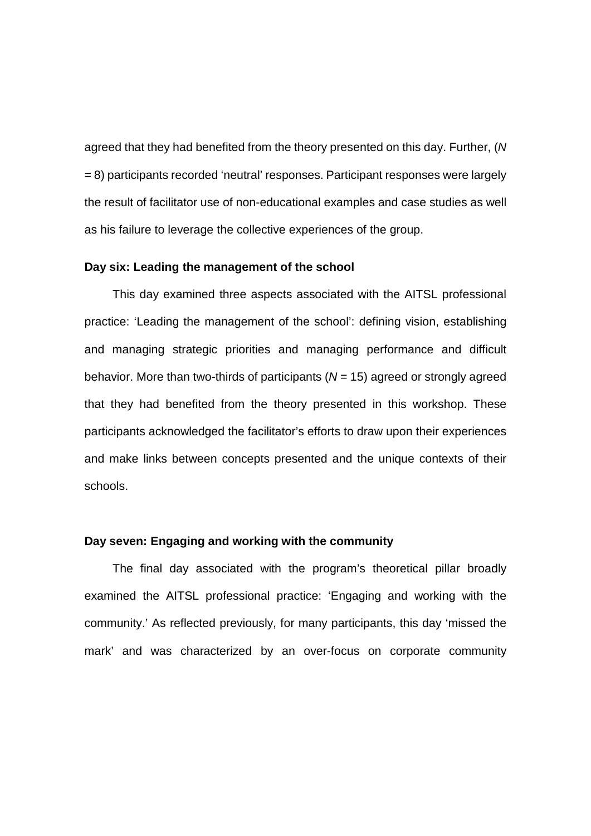agreed that they had benefited from the theory presented on this day. Further, (*N* = 8) participants recorded 'neutral' responses. Participant responses were largely the result of facilitator use of non-educational examples and case studies as well as his failure to leverage the collective experiences of the group.

#### **Day six: Leading the management of the school**

This day examined three aspects associated with the AITSL professional practice: 'Leading the management of the school': defining vision, establishing and managing strategic priorities and managing performance and difficult behavior. More than two-thirds of participants (*N* = 15) agreed or strongly agreed that they had benefited from the theory presented in this workshop. These participants acknowledged the facilitator's efforts to draw upon their experiences and make links between concepts presented and the unique contexts of their schools.

#### **Day seven: Engaging and working with the community**

The final day associated with the program's theoretical pillar broadly examined the AITSL professional practice: 'Engaging and working with the community.' As reflected previously, for many participants, this day 'missed the mark' and was characterized by an over-focus on corporate community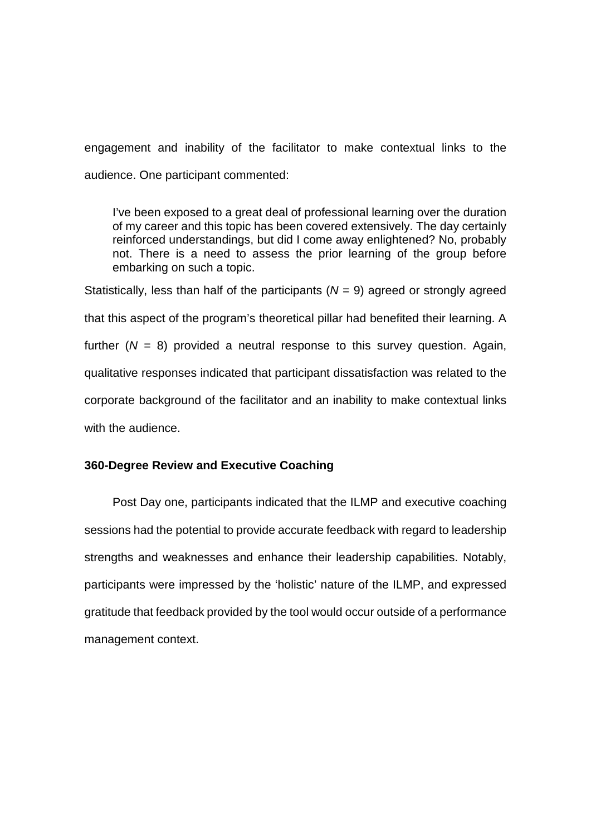engagement and inability of the facilitator to make contextual links to the audience. One participant commented:

I've been exposed to a great deal of professional learning over the duration of my career and this topic has been covered extensively. The day certainly reinforced understandings, but did I come away enlightened? No, probably not. There is a need to assess the prior learning of the group before embarking on such a topic.

Statistically, less than half of the participants  $(N = 9)$  agreed or strongly agreed that this aspect of the program's theoretical pillar had benefited their learning. A further  $(N = 8)$  provided a neutral response to this survey question. Again, qualitative responses indicated that participant dissatisfaction was related to the corporate background of the facilitator and an inability to make contextual links with the audience.

#### **360-Degree Review and Executive Coaching**

Post Day one, participants indicated that the ILMP and executive coaching sessions had the potential to provide accurate feedback with regard to leadership strengths and weaknesses and enhance their leadership capabilities. Notably, participants were impressed by the 'holistic' nature of the ILMP, and expressed gratitude that feedback provided by the tool would occur outside of a performance management context.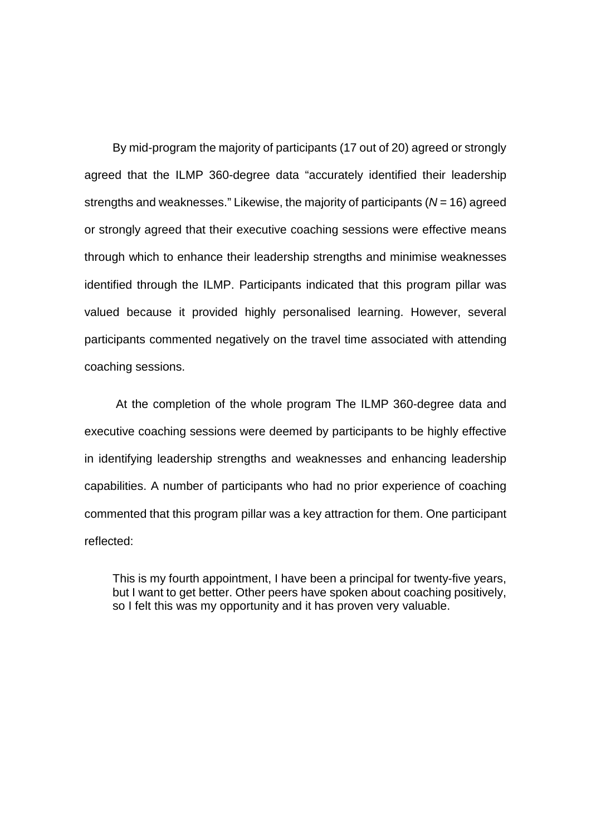By mid-program the majority of participants (17 out of 20) agreed or strongly agreed that the ILMP 360-degree data "accurately identified their leadership strengths and weaknesses." Likewise, the majority of participants (*N* = 16) agreed or strongly agreed that their executive coaching sessions were effective means through which to enhance their leadership strengths and minimise weaknesses identified through the ILMP. Participants indicated that this program pillar was valued because it provided highly personalised learning. However, several participants commented negatively on the travel time associated with attending coaching sessions.

At the completion of the whole program The ILMP 360-degree data and executive coaching sessions were deemed by participants to be highly effective in identifying leadership strengths and weaknesses and enhancing leadership capabilities. A number of participants who had no prior experience of coaching commented that this program pillar was a key attraction for them. One participant reflected:

This is my fourth appointment, I have been a principal for twenty-five years, but I want to get better. Other peers have spoken about coaching positively, so I felt this was my opportunity and it has proven very valuable.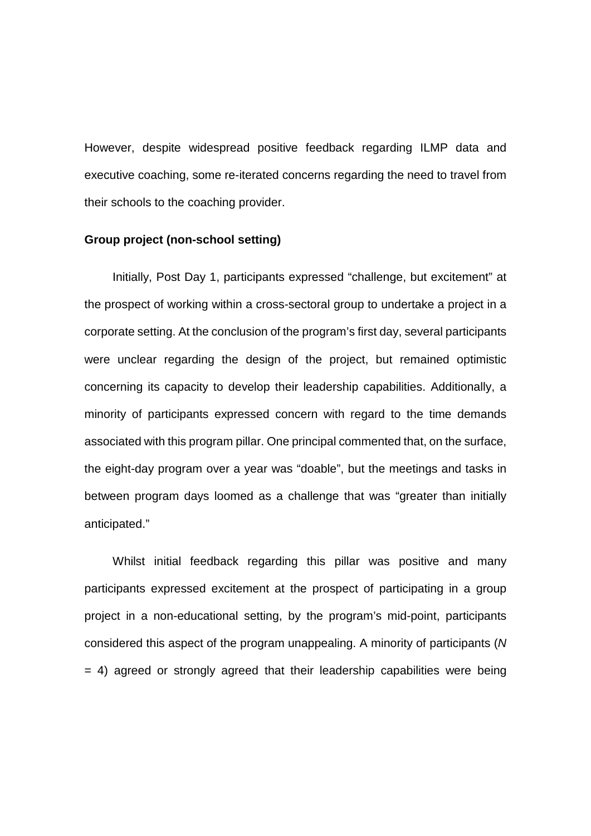However, despite widespread positive feedback regarding ILMP data and executive coaching, some re-iterated concerns regarding the need to travel from their schools to the coaching provider.

#### **Group project (non-school setting)**

Initially, Post Day 1, participants expressed "challenge, but excitement" at the prospect of working within a cross-sectoral group to undertake a project in a corporate setting. At the conclusion of the program's first day, several participants were unclear regarding the design of the project, but remained optimistic concerning its capacity to develop their leadership capabilities. Additionally, a minority of participants expressed concern with regard to the time demands associated with this program pillar. One principal commented that, on the surface, the eight-day program over a year was "doable", but the meetings and tasks in between program days loomed as a challenge that was "greater than initially anticipated."

Whilst initial feedback regarding this pillar was positive and many participants expressed excitement at the prospect of participating in a group project in a non-educational setting, by the program's mid-point, participants considered this aspect of the program unappealing. A minority of participants (*N*  $= 4$ ) agreed or strongly agreed that their leadership capabilities were being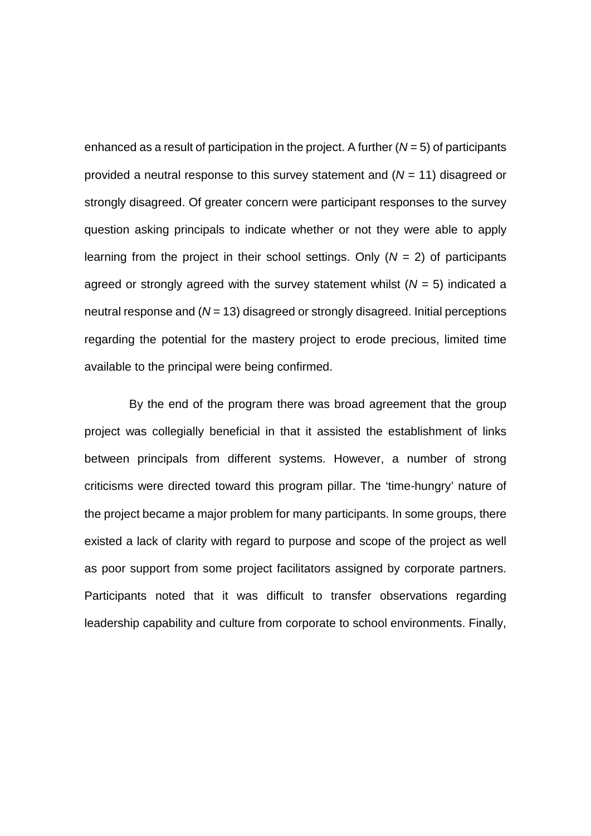enhanced as a result of participation in the project. A further (*N* = 5) of participants provided a neutral response to this survey statement and (*N* = 11) disagreed or strongly disagreed. Of greater concern were participant responses to the survey question asking principals to indicate whether or not they were able to apply learning from the project in their school settings. Only (*N* = 2) of participants agreed or strongly agreed with the survey statement whilst (*N* = 5) indicated a neutral response and (*N* = 13) disagreed or strongly disagreed. Initial perceptions regarding the potential for the mastery project to erode precious, limited time available to the principal were being confirmed.

 By the end of the program there was broad agreement that the group project was collegially beneficial in that it assisted the establishment of links between principals from different systems. However, a number of strong criticisms were directed toward this program pillar. The 'time-hungry' nature of the project became a major problem for many participants. In some groups, there existed a lack of clarity with regard to purpose and scope of the project as well as poor support from some project facilitators assigned by corporate partners. Participants noted that it was difficult to transfer observations regarding leadership capability and culture from corporate to school environments. Finally,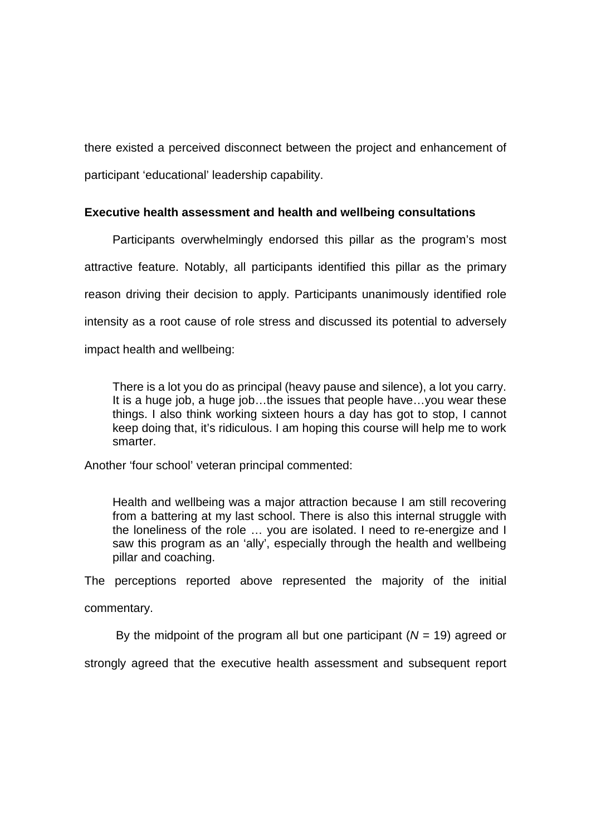there existed a perceived disconnect between the project and enhancement of participant 'educational' leadership capability.

# **Executive health assessment and health and wellbeing consultations**

Participants overwhelmingly endorsed this pillar as the program's most attractive feature. Notably, all participants identified this pillar as the primary reason driving their decision to apply. Participants unanimously identified role intensity as a root cause of role stress and discussed its potential to adversely impact health and wellbeing:

There is a lot you do as principal (heavy pause and silence), a lot you carry. It is a huge job, a huge job...the issues that people have...you wear these things. I also think working sixteen hours a day has got to stop, I cannot keep doing that, it's ridiculous. I am hoping this course will help me to work smarter.

Another 'four school' veteran principal commented:

Health and wellbeing was a major attraction because I am still recovering from a battering at my last school. There is also this internal struggle with the loneliness of the role … you are isolated. I need to re-energize and I saw this program as an 'ally', especially through the health and wellbeing pillar and coaching.

The perceptions reported above represented the majority of the initial commentary.

By the midpoint of the program all but one participant (*N* = 19) agreed or

strongly agreed that the executive health assessment and subsequent report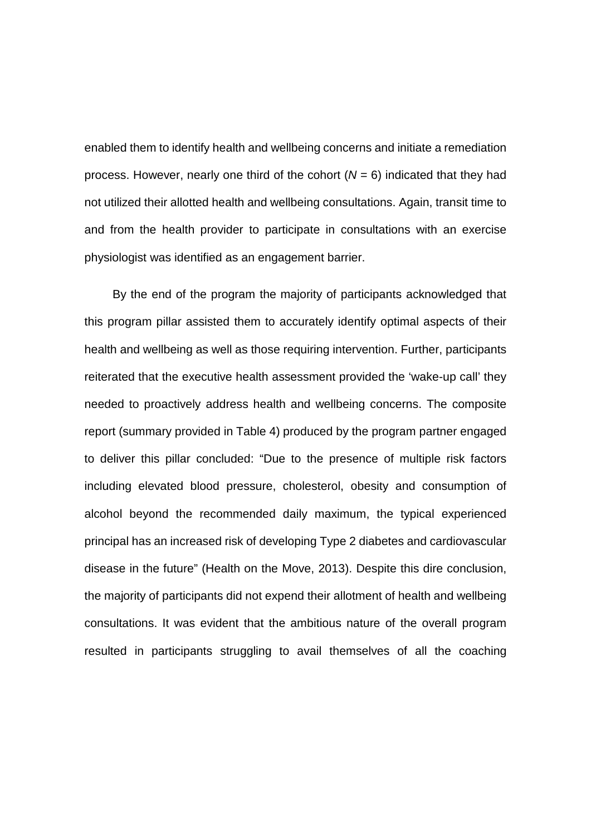enabled them to identify health and wellbeing concerns and initiate a remediation process. However, nearly one third of the cohort (*N* = 6) indicated that they had not utilized their allotted health and wellbeing consultations. Again, transit time to and from the health provider to participate in consultations with an exercise physiologist was identified as an engagement barrier.

By the end of the program the majority of participants acknowledged that this program pillar assisted them to accurately identify optimal aspects of their health and wellbeing as well as those requiring intervention. Further, participants reiterated that the executive health assessment provided the 'wake-up call' they needed to proactively address health and wellbeing concerns. The composite report (summary provided in Table 4) produced by the program partner engaged to deliver this pillar concluded: "Due to the presence of multiple risk factors including elevated blood pressure, cholesterol, obesity and consumption of alcohol beyond the recommended daily maximum, the typical experienced principal has an increased risk of developing Type 2 diabetes and cardiovascular disease in the future" (Health on the Move, 2013). Despite this dire conclusion, the majority of participants did not expend their allotment of health and wellbeing consultations. It was evident that the ambitious nature of the overall program resulted in participants struggling to avail themselves of all the coaching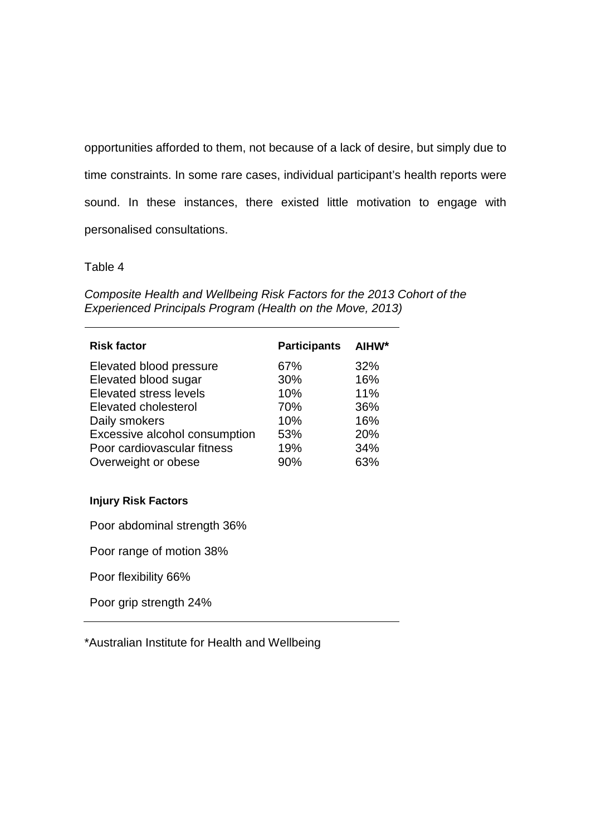opportunities afforded to them, not because of a lack of desire, but simply due to time constraints. In some rare cases, individual participant's health reports were sound. In these instances, there existed little motivation to engage with personalised consultations.

Table 4

*Composite Health and Wellbeing Risk Factors for the 2013 Cohort of the Experienced Principals Program (Health on the Move, 2013)*

| <b>Risk factor</b>            | <b>Participants</b> | AIHW* |
|-------------------------------|---------------------|-------|
| Elevated blood pressure       | 67%                 | 32%   |
| Elevated blood sugar          | 30%                 | 16%   |
| <b>Elevated stress levels</b> | 10%                 | 11%   |
| Elevated cholesterol          | 70%                 | 36%   |
| Daily smokers                 | 10%                 | 16%   |
| Excessive alcohol consumption | 53%                 | 20%   |
| Poor cardiovascular fitness   | 19%                 | 34%   |
| Overweight or obese           | 90%                 | 63%   |

# **Injury Risk Factors**

Poor abdominal strength 36%

Poor range of motion 38%

Poor flexibility 66%

Poor grip strength 24%

\*Australian Institute for Health and Wellbeing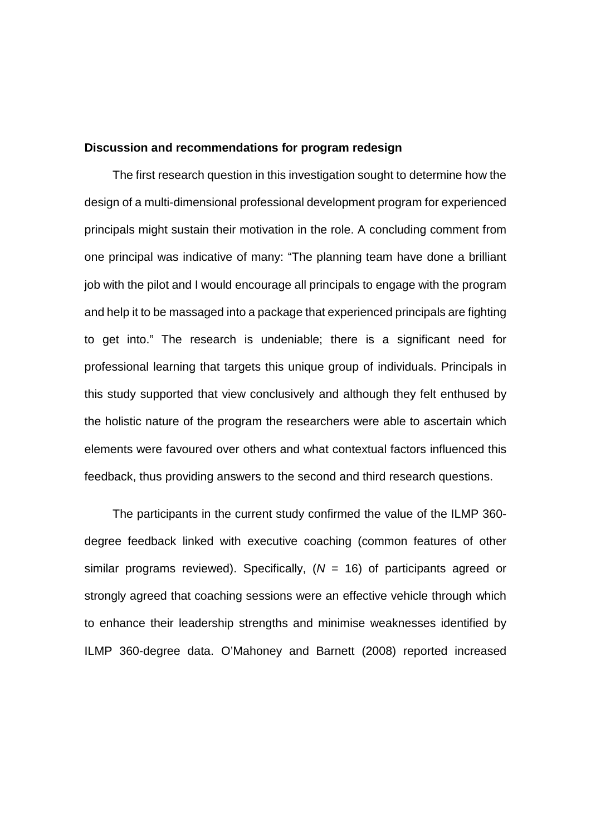#### **Discussion and recommendations for program redesign**

The first research question in this investigation sought to determine how the design of a multi-dimensional professional development program for experienced principals might sustain their motivation in the role. A concluding comment from one principal was indicative of many: "The planning team have done a brilliant job with the pilot and I would encourage all principals to engage with the program and help it to be massaged into a package that experienced principals are fighting to get into." The research is undeniable; there is a significant need for professional learning that targets this unique group of individuals. Principals in this study supported that view conclusively and although they felt enthused by the holistic nature of the program the researchers were able to ascertain which elements were favoured over others and what contextual factors influenced this feedback, thus providing answers to the second and third research questions.

The participants in the current study confirmed the value of the ILMP 360 degree feedback linked with executive coaching (common features of other similar programs reviewed). Specifically,  $(N = 16)$  of participants agreed or strongly agreed that coaching sessions were an effective vehicle through which to enhance their leadership strengths and minimise weaknesses identified by ILMP 360-degree data. O'Mahoney and Barnett (2008) reported increased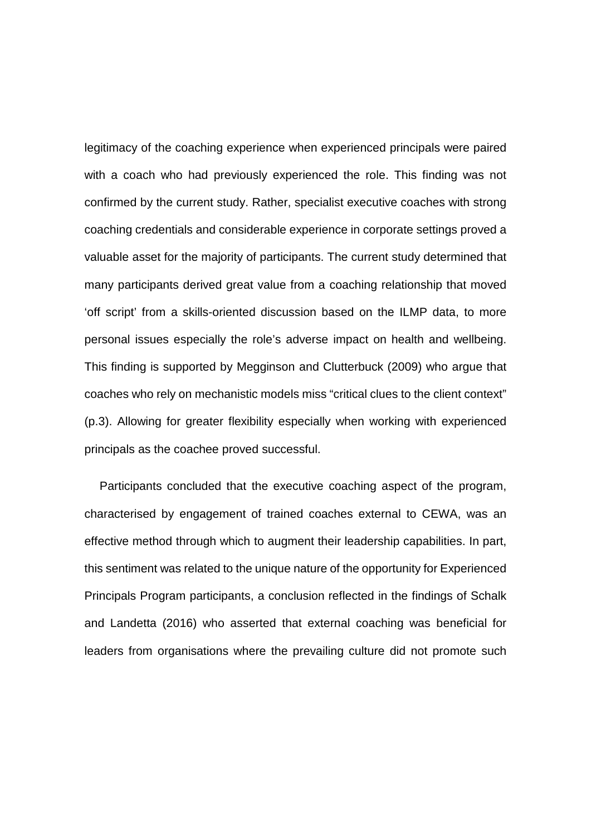legitimacy of the coaching experience when experienced principals were paired with a coach who had previously experienced the role. This finding was not confirmed by the current study. Rather, specialist executive coaches with strong coaching credentials and considerable experience in corporate settings proved a valuable asset for the majority of participants. The current study determined that many participants derived great value from a coaching relationship that moved 'off script' from a skills-oriented discussion based on the ILMP data, to more personal issues especially the role's adverse impact on health and wellbeing. This finding is supported by Megginson and Clutterbuck (2009) who argue that coaches who rely on mechanistic models miss "critical clues to the client context" (p.3). Allowing for greater flexibility especially when working with experienced principals as the coachee proved successful.

 Participants concluded that the executive coaching aspect of the program, characterised by engagement of trained coaches external to CEWA, was an effective method through which to augment their leadership capabilities. In part, this sentiment was related to the unique nature of the opportunity for Experienced Principals Program participants, a conclusion reflected in the findings of Schalk and Landetta (2016) who asserted that external coaching was beneficial for leaders from organisations where the prevailing culture did not promote such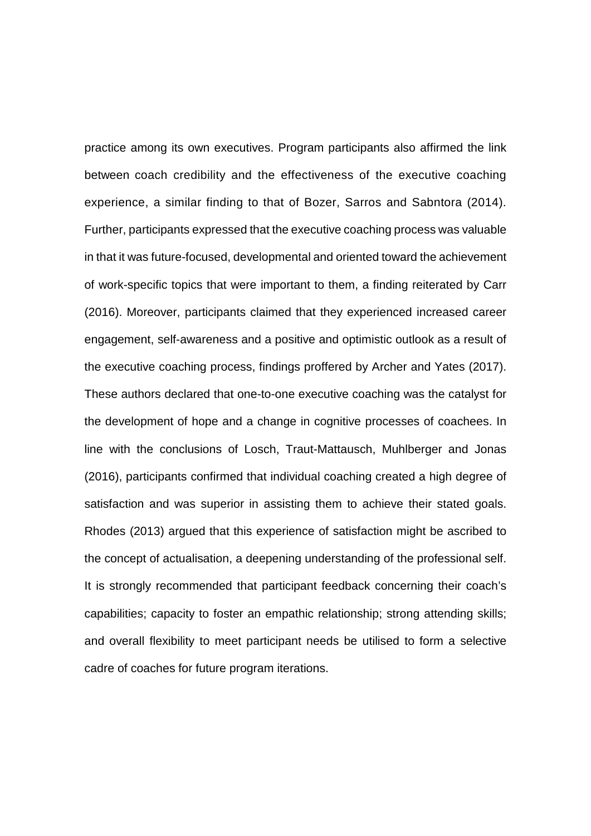practice among its own executives. Program participants also affirmed the link between coach credibility and the effectiveness of the executive coaching experience, a similar finding to that of Bozer, Sarros and Sabntora (2014). Further, participants expressed that the executive coaching process was valuable in that it was future-focused, developmental and oriented toward the achievement of work-specific topics that were important to them, a finding reiterated by Carr (2016). Moreover, participants claimed that they experienced increased career engagement, self-awareness and a positive and optimistic outlook as a result of the executive coaching process, findings proffered by Archer and Yates (2017). These authors declared that one-to-one executive coaching was the catalyst for the development of hope and a change in cognitive processes of coachees. In line with the conclusions of Losch, Traut-Mattausch, Muhlberger and Jonas (2016), participants confirmed that individual coaching created a high degree of satisfaction and was superior in assisting them to achieve their stated goals. Rhodes (2013) argued that this experience of satisfaction might be ascribed to the concept of actualisation, a deepening understanding of the professional self. It is strongly recommended that participant feedback concerning their coach's capabilities; capacity to foster an empathic relationship; strong attending skills; and overall flexibility to meet participant needs be utilised to form a selective cadre of coaches for future program iterations.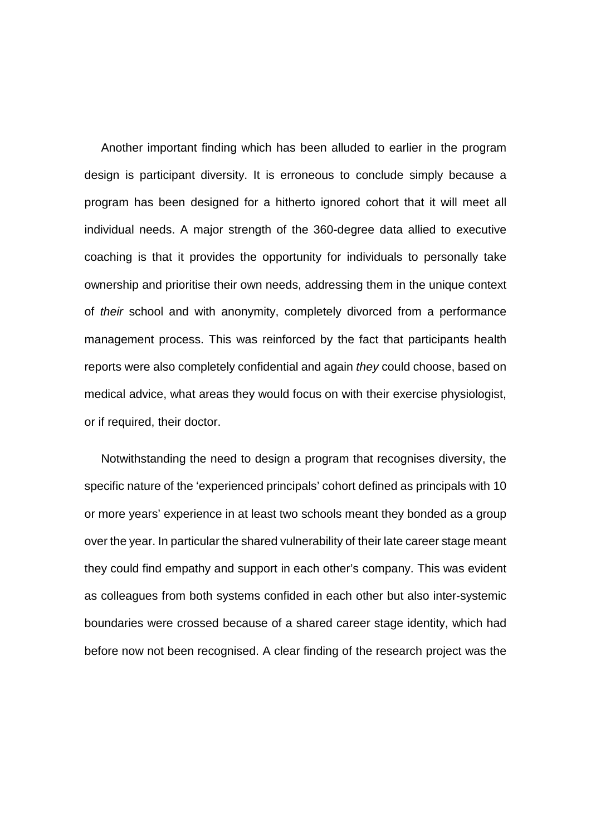Another important finding which has been alluded to earlier in the program design is participant diversity. It is erroneous to conclude simply because a program has been designed for a hitherto ignored cohort that it will meet all individual needs. A major strength of the 360-degree data allied to executive coaching is that it provides the opportunity for individuals to personally take ownership and prioritise their own needs, addressing them in the unique context of *their* school and with anonymity, completely divorced from a performance management process. This was reinforced by the fact that participants health reports were also completely confidential and again *they* could choose, based on medical advice, what areas they would focus on with their exercise physiologist, or if required, their doctor.

Notwithstanding the need to design a program that recognises diversity, the specific nature of the 'experienced principals' cohort defined as principals with 10 or more years' experience in at least two schools meant they bonded as a group over the year. In particular the shared vulnerability of their late career stage meant they could find empathy and support in each other's company. This was evident as colleagues from both systems confided in each other but also inter-systemic boundaries were crossed because of a shared career stage identity, which had before now not been recognised. A clear finding of the research project was the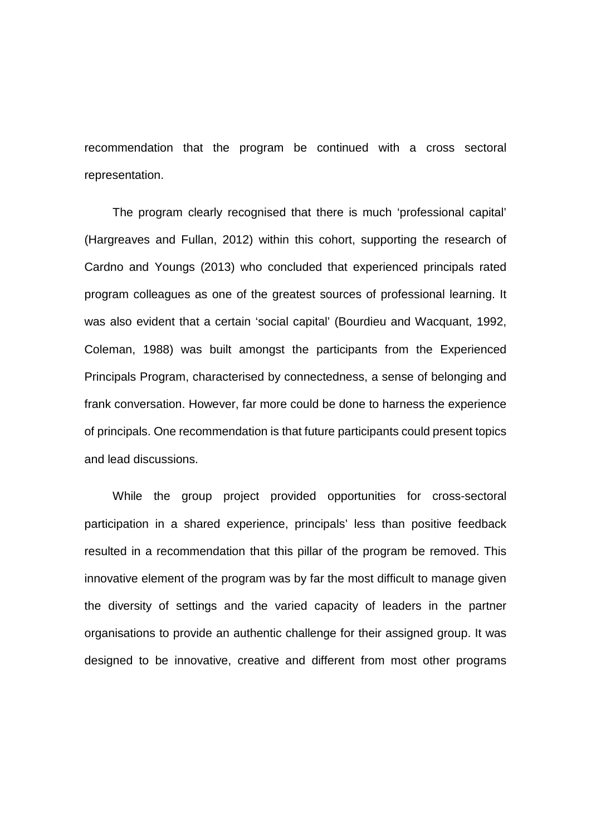recommendation that the program be continued with a cross sectoral representation.

The program clearly recognised that there is much 'professional capital' (Hargreaves and Fullan, 2012) within this cohort, supporting the research of Cardno and Youngs (2013) who concluded that experienced principals rated program colleagues as one of the greatest sources of professional learning. It was also evident that a certain 'social capital' (Bourdieu and Wacquant, 1992, Coleman, 1988) was built amongst the participants from the Experienced Principals Program, characterised by connectedness, a sense of belonging and frank conversation. However, far more could be done to harness the experience of principals. One recommendation is that future participants could present topics and lead discussions.

While the group project provided opportunities for cross-sectoral participation in a shared experience, principals' less than positive feedback resulted in a recommendation that this pillar of the program be removed. This innovative element of the program was by far the most difficult to manage given the diversity of settings and the varied capacity of leaders in the partner organisations to provide an authentic challenge for their assigned group. It was designed to be innovative, creative and different from most other programs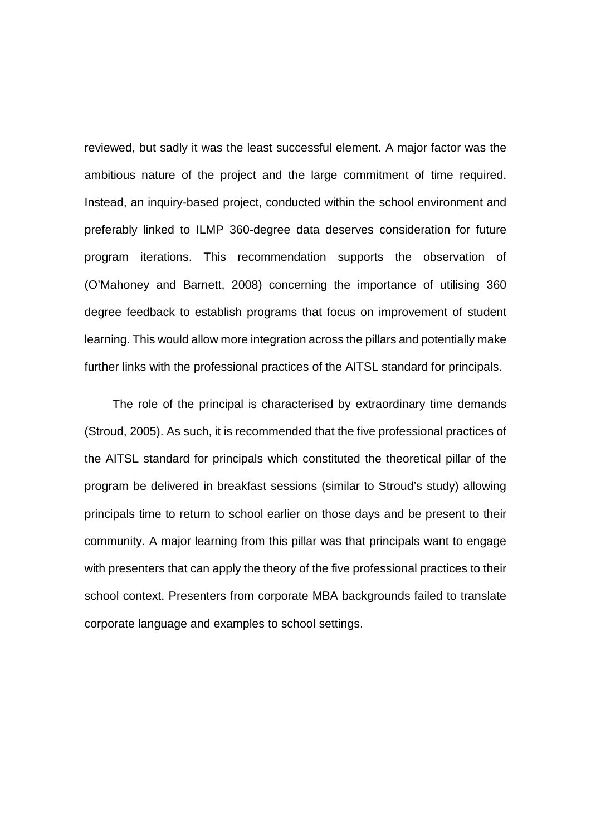reviewed, but sadly it was the least successful element. A major factor was the ambitious nature of the project and the large commitment of time required. Instead, an inquiry-based project, conducted within the school environment and preferably linked to ILMP 360-degree data deserves consideration for future program iterations. This recommendation supports the observation of (O'Mahoney and Barnett, 2008) concerning the importance of utilising 360 degree feedback to establish programs that focus on improvement of student learning. This would allow more integration across the pillars and potentially make further links with the professional practices of the AITSL standard for principals.

The role of the principal is characterised by extraordinary time demands (Stroud, 2005). As such, it is recommended that the five professional practices of the AITSL standard for principals which constituted the theoretical pillar of the program be delivered in breakfast sessions (similar to Stroud's study) allowing principals time to return to school earlier on those days and be present to their community. A major learning from this pillar was that principals want to engage with presenters that can apply the theory of the five professional practices to their school context. Presenters from corporate MBA backgrounds failed to translate corporate language and examples to school settings.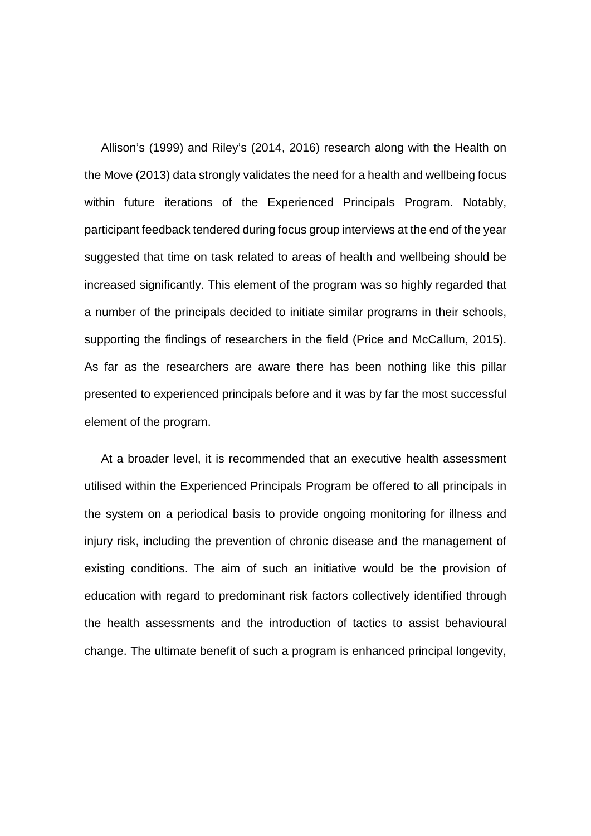Allison's (1999) and Riley's (2014, 2016) research along with the Health on the Move (2013) data strongly validates the need for a health and wellbeing focus within future iterations of the Experienced Principals Program. Notably, participant feedback tendered during focus group interviews at the end of the year suggested that time on task related to areas of health and wellbeing should be increased significantly. This element of the program was so highly regarded that a number of the principals decided to initiate similar programs in their schools, supporting the findings of researchers in the field (Price and McCallum, 2015). As far as the researchers are aware there has been nothing like this pillar presented to experienced principals before and it was by far the most successful element of the program.

At a broader level, it is recommended that an executive health assessment utilised within the Experienced Principals Program be offered to all principals in the system on a periodical basis to provide ongoing monitoring for illness and injury risk, including the prevention of chronic disease and the management of existing conditions. The aim of such an initiative would be the provision of education with regard to predominant risk factors collectively identified through the health assessments and the introduction of tactics to assist behavioural change. The ultimate benefit of such a program is enhanced principal longevity,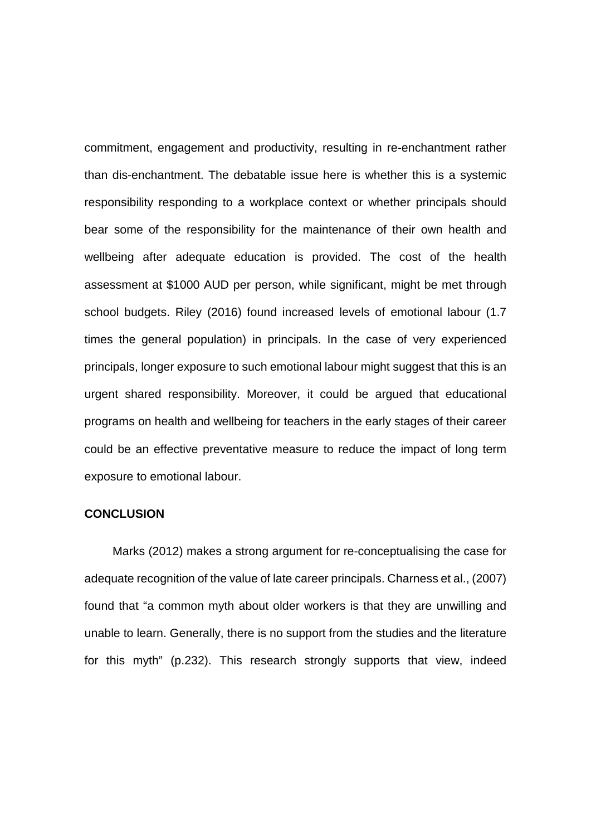commitment, engagement and productivity, resulting in re-enchantment rather than dis-enchantment. The debatable issue here is whether this is a systemic responsibility responding to a workplace context or whether principals should bear some of the responsibility for the maintenance of their own health and wellbeing after adequate education is provided. The cost of the health assessment at \$1000 AUD per person, while significant, might be met through school budgets. Riley (2016) found increased levels of emotional labour (1.7 times the general population) in principals. In the case of very experienced principals, longer exposure to such emotional labour might suggest that this is an urgent shared responsibility. Moreover, it could be argued that educational programs on health and wellbeing for teachers in the early stages of their career could be an effective preventative measure to reduce the impact of long term exposure to emotional labour.

#### **CONCLUSION**

Marks (2012) makes a strong argument for re-conceptualising the case for adequate recognition of the value of late career principals. Charness et al., (2007) found that "a common myth about older workers is that they are unwilling and unable to learn. Generally, there is no support from the studies and the literature for this myth" (p.232). This research strongly supports that view, indeed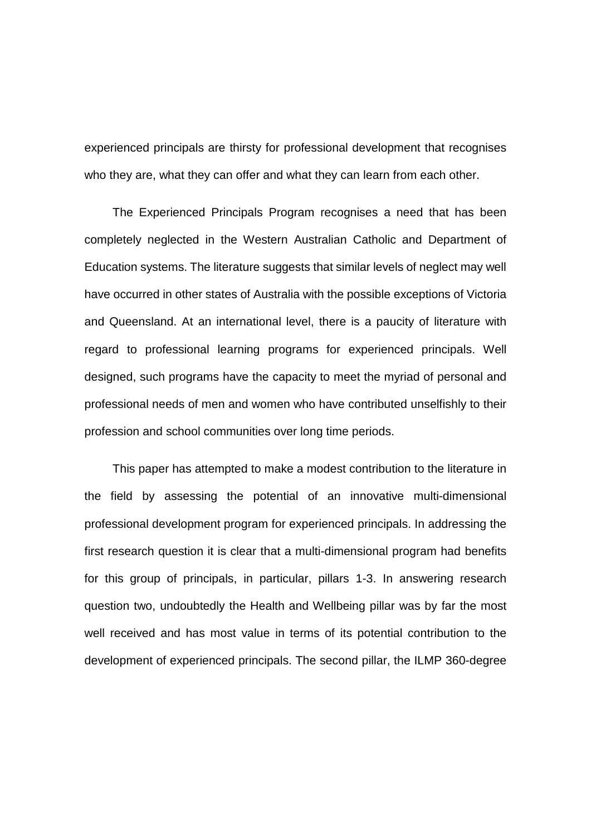experienced principals are thirsty for professional development that recognises who they are, what they can offer and what they can learn from each other.

The Experienced Principals Program recognises a need that has been completely neglected in the Western Australian Catholic and Department of Education systems. The literature suggests that similar levels of neglect may well have occurred in other states of Australia with the possible exceptions of Victoria and Queensland. At an international level, there is a paucity of literature with regard to professional learning programs for experienced principals. Well designed, such programs have the capacity to meet the myriad of personal and professional needs of men and women who have contributed unselfishly to their profession and school communities over long time periods.

This paper has attempted to make a modest contribution to the literature in the field by assessing the potential of an innovative multi-dimensional professional development program for experienced principals. In addressing the first research question it is clear that a multi-dimensional program had benefits for this group of principals, in particular, pillars 1-3. In answering research question two, undoubtedly the Health and Wellbeing pillar was by far the most well received and has most value in terms of its potential contribution to the development of experienced principals. The second pillar, the ILMP 360-degree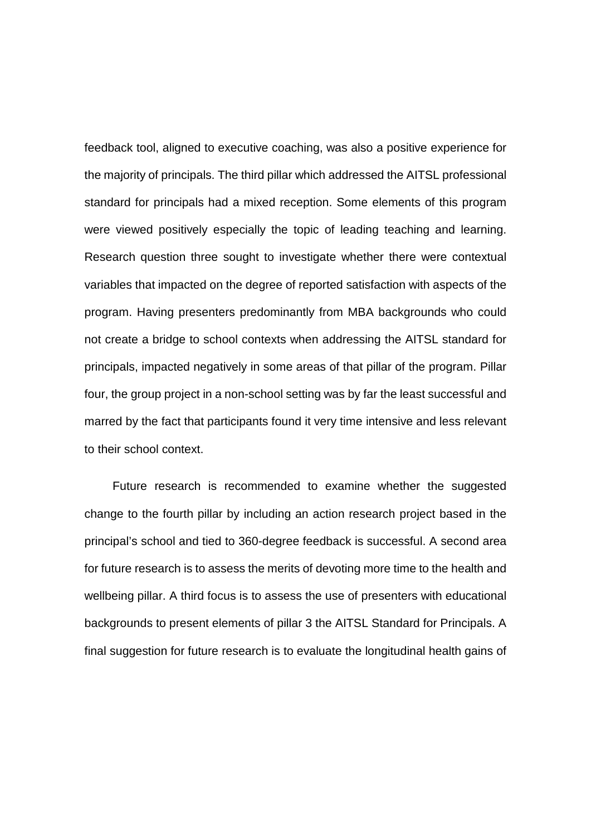feedback tool, aligned to executive coaching, was also a positive experience for the majority of principals. The third pillar which addressed the AITSL professional standard for principals had a mixed reception. Some elements of this program were viewed positively especially the topic of leading teaching and learning. Research question three sought to investigate whether there were contextual variables that impacted on the degree of reported satisfaction with aspects of the program. Having presenters predominantly from MBA backgrounds who could not create a bridge to school contexts when addressing the AITSL standard for principals, impacted negatively in some areas of that pillar of the program. Pillar four, the group project in a non-school setting was by far the least successful and marred by the fact that participants found it very time intensive and less relevant to their school context.

Future research is recommended to examine whether the suggested change to the fourth pillar by including an action research project based in the principal's school and tied to 360-degree feedback is successful. A second area for future research is to assess the merits of devoting more time to the health and wellbeing pillar. A third focus is to assess the use of presenters with educational backgrounds to present elements of pillar 3 the AITSL Standard for Principals. A final suggestion for future research is to evaluate the longitudinal health gains of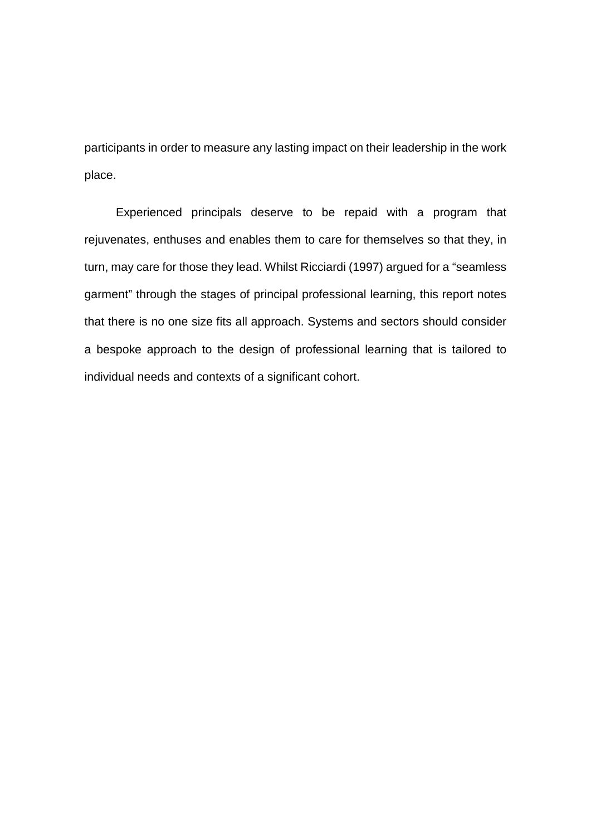participants in order to measure any lasting impact on their leadership in the work place.

Experienced principals deserve to be repaid with a program that rejuvenates, enthuses and enables them to care for themselves so that they, in turn, may care for those they lead. Whilst Ricciardi (1997) argued for a "seamless garment" through the stages of principal professional learning, this report notes that there is no one size fits all approach. Systems and sectors should consider a bespoke approach to the design of professional learning that is tailored to individual needs and contexts of a significant cohort.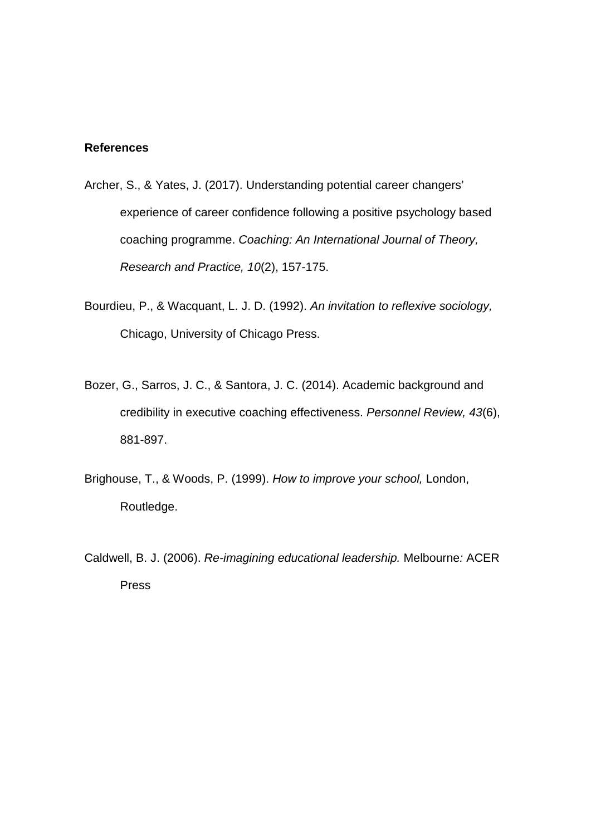## **References**

- Archer, S., & Yates, J. (2017). Understanding potential career changers' experience of career confidence following a positive psychology based coaching programme. *Coaching: An International Journal of Theory, Research and Practice, 10*(2), 157-175.
- Bourdieu, P., & Wacquant, L. J. D. (1992). *An invitation to reflexive sociology,*  Chicago, University of Chicago Press.
- Bozer, G., Sarros, J. C., & Santora, J. C. (2014). Academic background and credibility in executive coaching effectiveness. *Personnel Review, 43*(6), 881-897.
- Brighouse, T., & Woods, P. (1999). *How to improve your school,* London, Routledge.
- Caldwell, B. J. (2006). *Re-imagining educational leadership.* Melbourne*:* ACER Press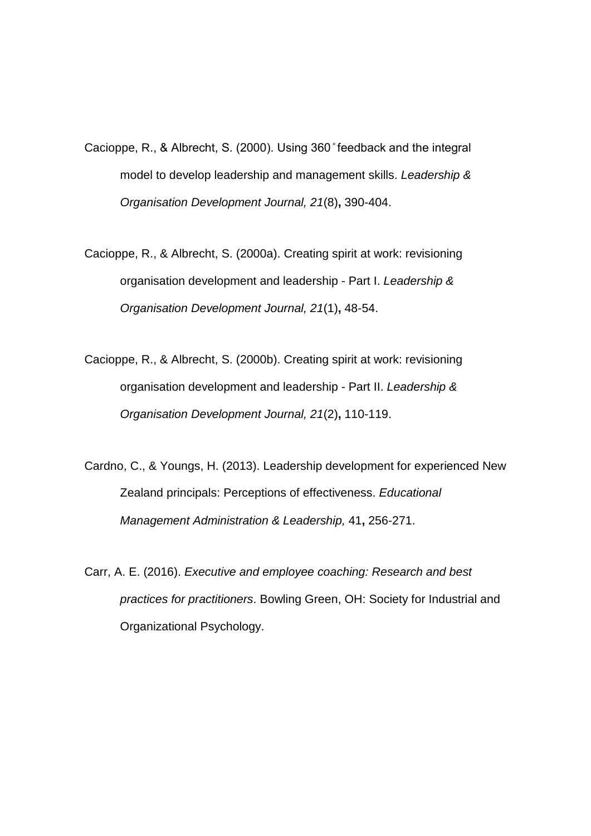- Cacioppe, R., & Albrecht, S. (2000). Using 360 ̊ feedback and the integral model to develop leadership and management skills. *Leadership & Organisation Development Journal, 21*(8)**,** 390-404.
- Cacioppe, R., & Albrecht, S. (2000a). Creating spirit at work: revisioning organisation development and leadership - Part I. *Leadership & Organisation Development Journal, 21*(1)**,** 48-54.
- Cacioppe, R., & Albrecht, S. (2000b). Creating spirit at work: revisioning organisation development and leadership - Part II. *Leadership & Organisation Development Journal, 21*(2)**,** 110-119.
- Cardno, C., & Youngs, H. (2013). Leadership development for experienced New Zealand principals: Perceptions of effectiveness. *Educational Management Administration & Leadership,* 41**,** 256-271.
- Carr, A. E. (2016). *Executive and employee coaching: Research and best practices for practitioners*. Bowling Green, OH: Society for Industrial and Organizational Psychology.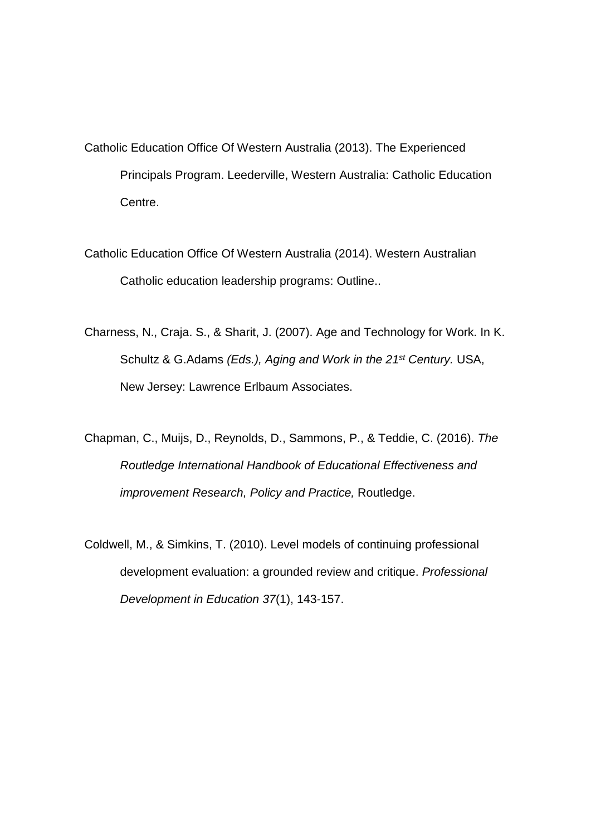Catholic Education Office Of Western Australia (2013). The Experienced Principals Program. Leederville, Western Australia: Catholic Education Centre.

- Catholic Education Office Of Western Australia (2014). Western Australian Catholic education leadership programs: Outline..
- Charness, N., Craja. S., & Sharit, J. (2007). Age and Technology for Work. In K. Schultz & G.Adams *(Eds.), Aging and Work in the 21st Century.* USA, New Jersey: Lawrence Erlbaum Associates.
- Chapman, C., Muijs, D., Reynolds, D., Sammons, P., & Teddie, C. (2016). *The Routledge International Handbook of Educational Effectiveness and improvement Research, Policy and Practice,* Routledge.
- Coldwell, M., & Simkins, T. (2010). Level models of continuing professional development evaluation: a grounded review and critique. *Professional Development in Education 37*(1), 143-157.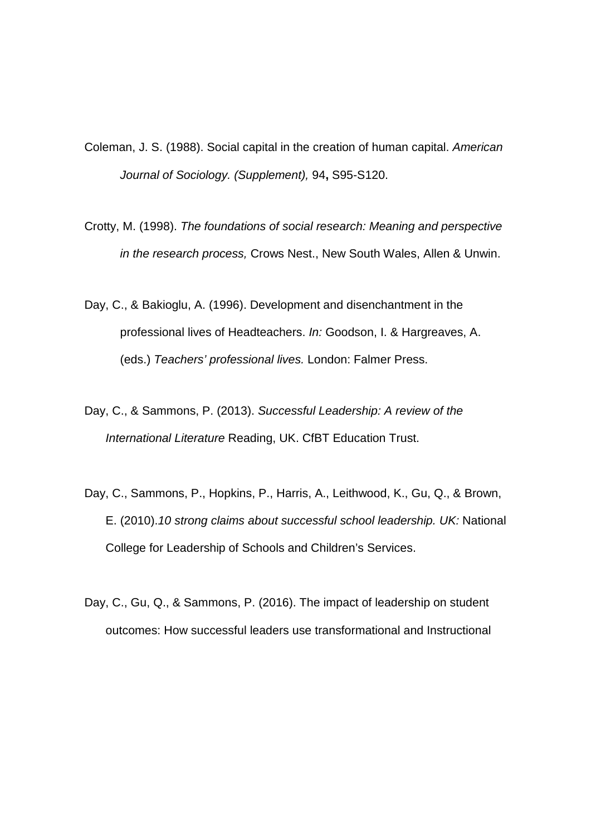- Coleman, J. S. (1988). Social capital in the creation of human capital. *American Journal of Sociology. (Supplement),* 94**,** S95-S120.
- Crotty, M. (1998). *The foundations of social research: Meaning and perspective in the research process,* Crows Nest., New South Wales, Allen & Unwin.
- Day, C., & Bakioglu, A. (1996). Development and disenchantment in the professional lives of Headteachers. *In:* Goodson, I. & Hargreaves, A. (eds.) *Teachers' professional lives.* London: Falmer Press.
- Day, C., & Sammons, P. (2013). *Successful Leadership: A review of the International Literature* Reading, UK. CfBT Education Trust.
- Day, C., Sammons, P., Hopkins, P., Harris, A., Leithwood, K., Gu, Q., & Brown, E. (2010).*10 strong claims about successful school leadership. UK:* National College for Leadership of Schools and Children's Services.
- Day, C., Gu, Q., & Sammons, P. (2016). The impact of leadership on student outcomes: How successful leaders use transformational and Instructional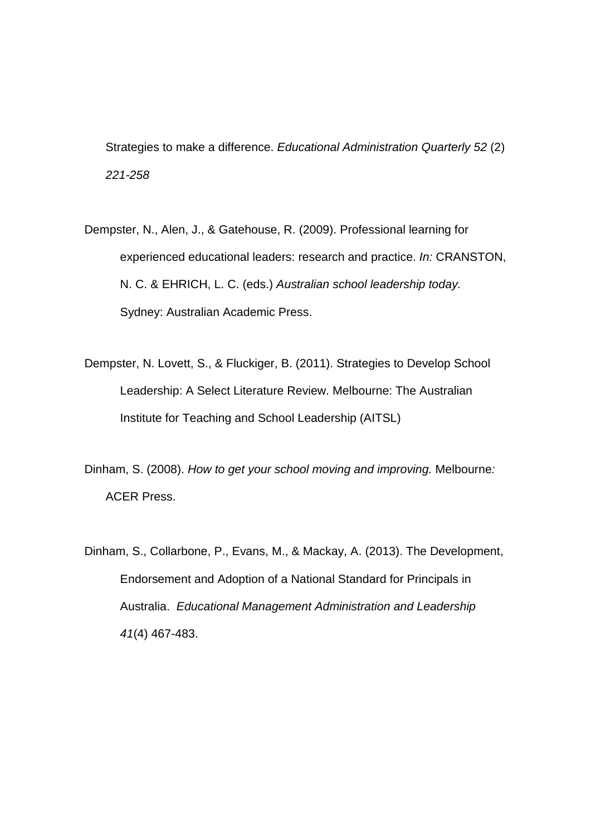Strategies to make a difference. *Educational Administration Quarterly 52* (2) *221-258*

- Dempster, N., Alen, J., & Gatehouse, R. (2009). Professional learning for experienced educational leaders: research and practice. *In:* CRANSTON, N. C. & EHRICH, L. C. (eds.) *Australian school leadership today.* Sydney: Australian Academic Press.
- Dempster, N. Lovett, S., & Fluckiger, B. (2011). Strategies to Develop School Leadership: A Select Literature Review. Melbourne: The Australian Institute for Teaching and School Leadership (AITSL)
- Dinham, S. (2008). *How to get your school moving and improving.* Melbourne*:*  ACER Press.
- Dinham, S., Collarbone, P., Evans, M., & Mackay, A. (2013). The Development, Endorsement and Adoption of a National Standard for Principals in Australia. *Educational Management Administration and Leadership 41*(4) 467-483.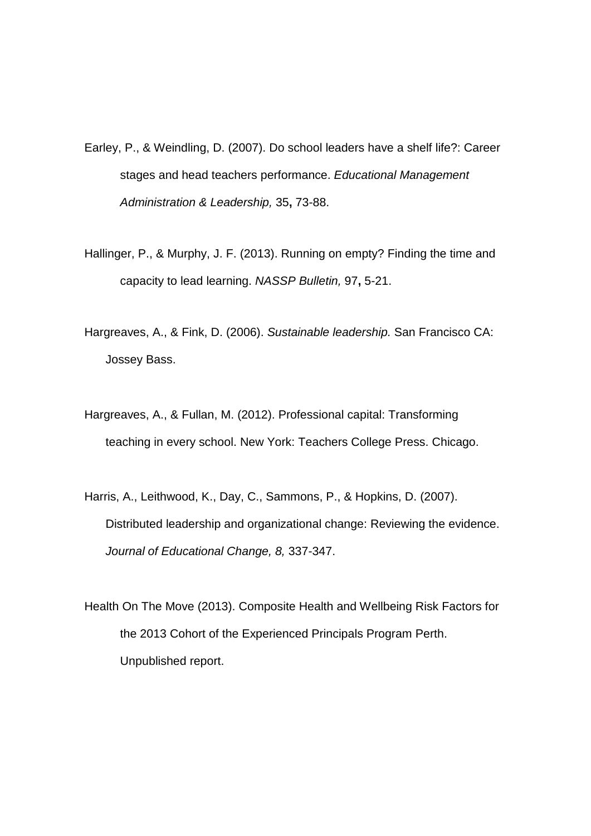- Earley, P., & Weindling, D. (2007). Do school leaders have a shelf life?: Career stages and head teachers performance. *Educational Management Administration & Leadership,* 35**,** 73-88.
- Hallinger, P., & Murphy, J. F. (2013). Running on empty? Finding the time and capacity to lead learning. *NASSP Bulletin,* 97**,** 5-21.
- Hargreaves, A., & Fink, D. (2006). *Sustainable leadership.* San Francisco CA: Jossey Bass.
- Hargreaves, A., & Fullan, M. (2012). Professional capital: Transforming teaching in every school. New York: Teachers College Press. Chicago.
- Harris, A., Leithwood, K., Day, C., Sammons, P., & Hopkins, D. (2007). Distributed leadership and organizational change: Reviewing the evidence. *Journal of Educational Change, 8,* 337-347.
- Health On The Move (2013). Composite Health and Wellbeing Risk Factors for the 2013 Cohort of the Experienced Principals Program Perth. Unpublished report.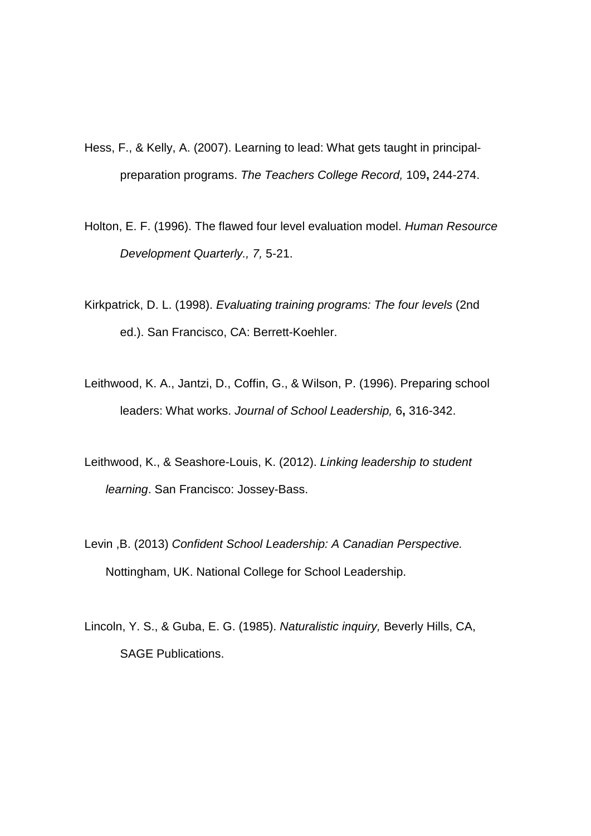- Hess, F., & Kelly, A. (2007). Learning to lead: What gets taught in principalpreparation programs. *The Teachers College Record,* 109**,** 244-274.
- Holton, E. F. (1996). The flawed four level evaluation model. *Human Resource Development Quarterly., 7,* 5-21.
- Kirkpatrick, D. L. (1998). *Evaluating training programs: The four levels* (2nd ed.). San Francisco, CA: Berrett-Koehler.
- Leithwood, K. A., Jantzi, D., Coffin, G., & Wilson, P. (1996). Preparing school leaders: What works. *Journal of School Leadership,* 6**,** 316-342.
- Leithwood, K., & Seashore-Louis, K. (2012). *Linking leadership to student learning*. San Francisco: Jossey-Bass.
- Levin ,B. (2013) *Confident School Leadership: A Canadian Perspective.*  Nottingham, UK. National College for School Leadership.
- Lincoln, Y. S., & Guba, E. G. (1985). *Naturalistic inquiry,* Beverly Hills, CA, SAGE Publications.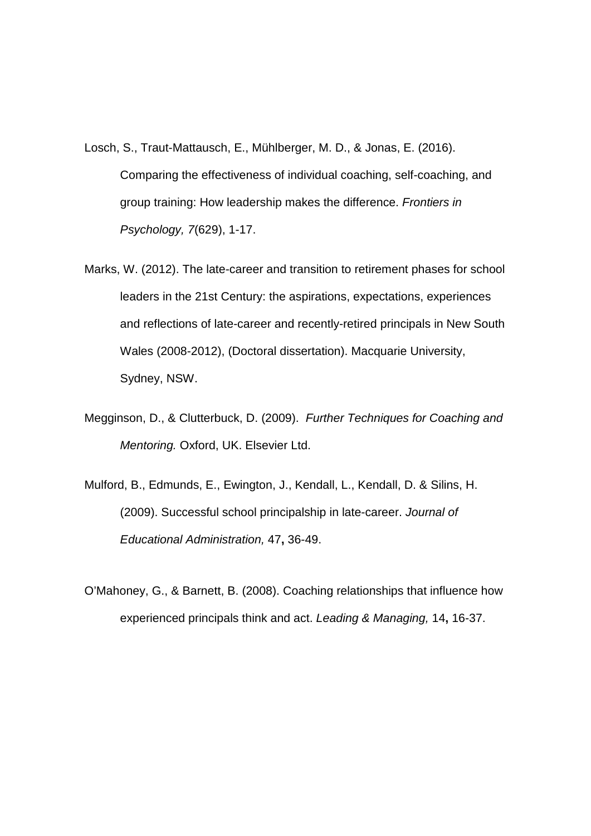- Losch, S., Traut-Mattausch, E., Mühlberger, M. D., & Jonas, E. (2016). Comparing the effectiveness of individual coaching, self-coaching, and group training: How leadership makes the difference. *Frontiers in Psychology, 7*(629), 1-17.
- Marks, W. (2012). The late-career and transition to retirement phases for school leaders in the 21st Century: the aspirations, expectations, experiences and reflections of late-career and recently-retired principals in New South Wales (2008-2012), (Doctoral dissertation). Macquarie University, Sydney, NSW.
- Megginson, D., & Clutterbuck, D. (2009). *Further Techniques for Coaching and Mentoring.* Oxford, UK. Elsevier Ltd.
- Mulford, B., Edmunds, E., Ewington, J., Kendall, L., Kendall, D. & Silins, H. (2009). Successful school principalship in late-career. *Journal of Educational Administration,* 47**,** 36-49.
- O'Mahoney, G., & Barnett, B. (2008). Coaching relationships that influence how experienced principals think and act. *Leading & Managing,* 14**,** 16-37.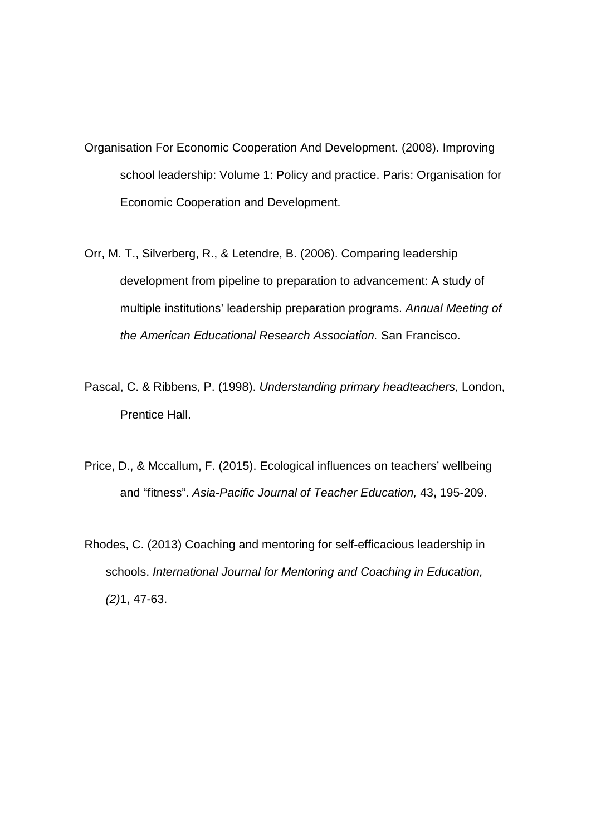- Organisation For Economic Cooperation And Development. (2008). Improving school leadership: Volume 1: Policy and practice. Paris: Organisation for Economic Cooperation and Development.
- Orr, M. T., Silverberg, R., & Letendre, B. (2006). Comparing leadership development from pipeline to preparation to advancement: A study of multiple institutions' leadership preparation programs. *Annual Meeting of the American Educational Research Association.* San Francisco.
- Pascal, C. & Ribbens, P. (1998). *Understanding primary headteachers,* London, Prentice Hall.
- Price, D., & Mccallum, F. (2015). Ecological influences on teachers' wellbeing and "fitness". *Asia-Pacific Journal of Teacher Education,* 43**,** 195-209.
- Rhodes, C. (2013) Coaching and mentoring for self-efficacious leadership in schools. *International Journal for Mentoring and Coaching in Education, (2)*1, 47-63.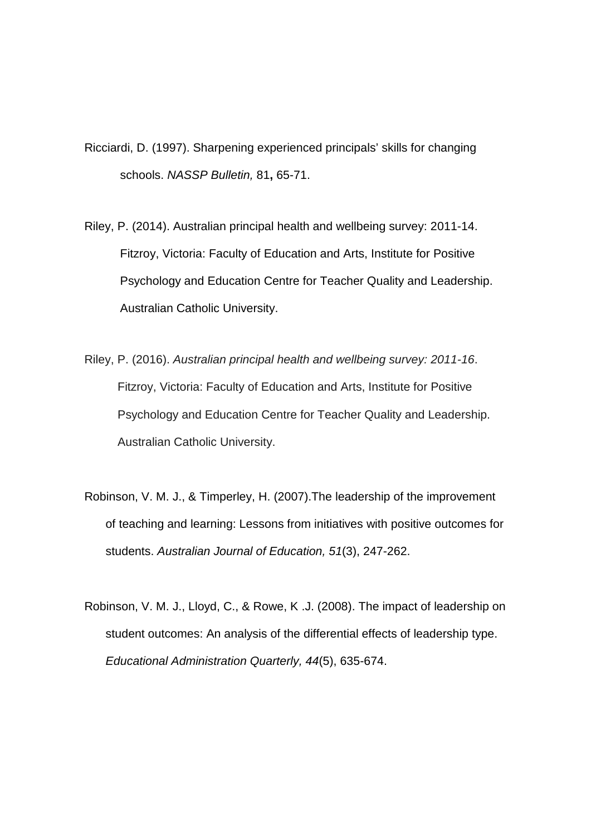- Ricciardi, D. (1997). Sharpening experienced principals' skills for changing schools. *NASSP Bulletin,* 81**,** 65-71.
- Riley, P. (2014). Australian principal health and wellbeing survey: 2011-14. Fitzroy, Victoria: Faculty of Education and Arts, Institute for Positive Psychology and Education Centre for Teacher Quality and Leadership. Australian Catholic University.
- Riley, P. (2016). *Australian principal health and wellbeing survey: 2011-16*. Fitzroy, Victoria: Faculty of Education and Arts, Institute for Positive Psychology and Education Centre for Teacher Quality and Leadership. Australian Catholic University.
- Robinson, V. M. J., & Timperley, H. (2007).The leadership of the improvement of teaching and learning: Lessons from initiatives with positive outcomes for students. *Australian Journal of Education, 51*(3), 247-262.
- Robinson, V. M. J., Lloyd, C., & Rowe, K .J. (2008). The impact of leadership on student outcomes: An analysis of the differential effects of leadership type. *Educational Administration Quarterly, 44*(5), 635-674.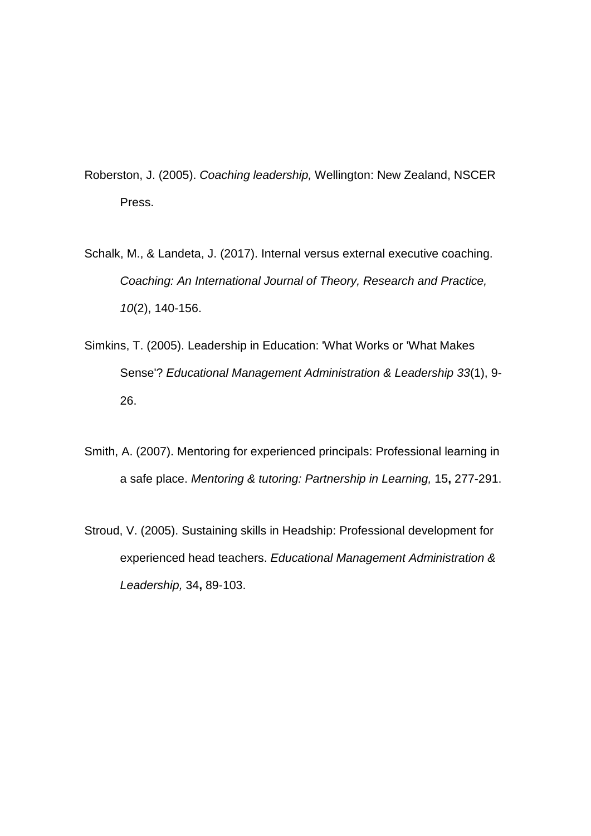Roberston, J. (2005). *Coaching leadership,* Wellington: New Zealand, NSCER Press.

- Schalk, M., & Landeta, J. (2017). Internal versus external executive coaching. *Coaching: An International Journal of Theory, Research and Practice, 10*(2), 140-156.
- Simkins, T. (2005). Leadership in Education: 'What Works or 'What Makes Sense'? *Educational Management Administration & Leadership 33*(1), 9- 26.
- Smith, A. (2007). Mentoring for experienced principals: Professional learning in a safe place. *Mentoring & tutoring: Partnership in Learning,* 15**,** 277-291.
- Stroud, V. (2005). Sustaining skills in Headship: Professional development for experienced head teachers. *Educational Management Administration & Leadership,* 34**,** 89-103.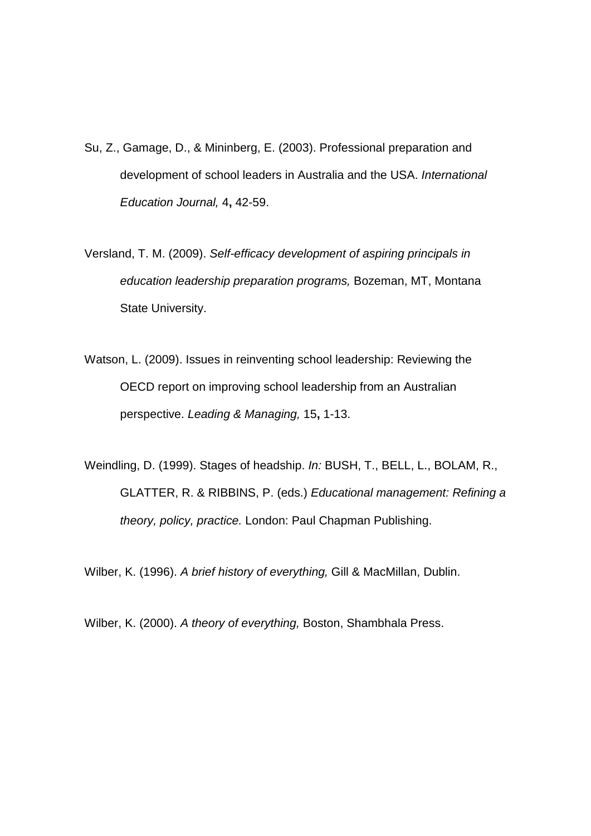- Su, Z., Gamage, D., & Mininberg, E. (2003). Professional preparation and development of school leaders in Australia and the USA. *International Education Journal,* 4**,** 42-59.
- Versland, T. M. (2009). *Self-efficacy development of aspiring principals in education leadership preparation programs,* Bozeman, MT, Montana State University.
- Watson, L. (2009). Issues in reinventing school leadership: Reviewing the OECD report on improving school leadership from an Australian perspective. *Leading & Managing,* 15**,** 1-13.
- Weindling, D. (1999). Stages of headship. *In:* BUSH, T., BELL, L., BOLAM, R., GLATTER, R. & RIBBINS, P. (eds.) *Educational management: Refining a theory, policy, practice.* London: Paul Chapman Publishing.

Wilber, K. (1996). *A brief history of everything,* Gill & MacMillan, Dublin.

Wilber, K. (2000). *A theory of everything,* Boston, Shambhala Press.